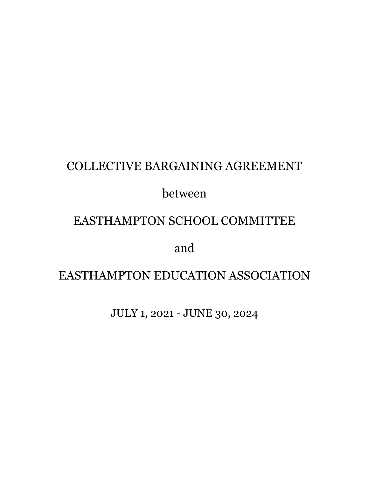## COLLECTIVE BARGAINING AGREEMENT

## between

## EASTHAMPTON SCHOOL COMMITTEE

and

# EASTHAMPTON EDUCATION ASSOCIATION

JULY 1, 2021 - JUNE 30, 2024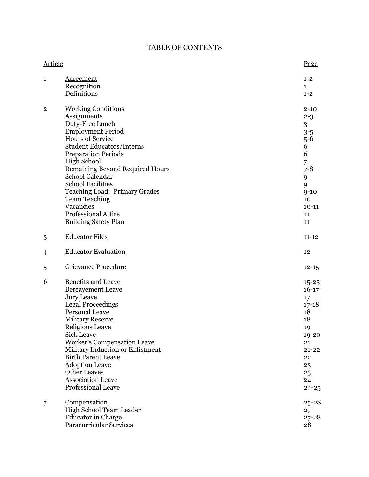## TABLE OF CONTENTS

| Article        |                                                                                                                                                                                                                                                                                                                                                                                                                                 | Page                                                                                                                                     |
|----------------|---------------------------------------------------------------------------------------------------------------------------------------------------------------------------------------------------------------------------------------------------------------------------------------------------------------------------------------------------------------------------------------------------------------------------------|------------------------------------------------------------------------------------------------------------------------------------------|
| $\mathbf{1}$   | <b>Agreement</b><br>Recognition<br>Definitions                                                                                                                                                                                                                                                                                                                                                                                  | $1 - 2$<br>$\mathbf{1}$<br>$1 - 2$                                                                                                       |
| $\overline{2}$ | <b>Working Conditions</b><br>Assignments<br>Duty-Free Lunch<br><b>Employment Period</b><br><b>Hours of Service</b><br><b>Student Educators/Interns</b><br><b>Preparation Periods</b><br><b>High School</b><br><b>Remaining Beyond Required Hours</b><br>School Calendar<br><b>School Facilities</b><br>Teaching Load: Primary Grades<br><b>Team Teaching</b><br>Vacancies<br>Professional Attire<br><b>Building Safety Plan</b> | $2 - 10$<br>$2 - 3$<br>3<br>$3 - 5$<br>$5 - 6$<br>6<br>6<br>$\overline{7}$<br>$7 - 8$<br>9<br>9<br>$9 - 10$<br>10<br>$10-11$<br>11<br>11 |
| 3              | <b>Educator Files</b>                                                                                                                                                                                                                                                                                                                                                                                                           | $11 - 12$                                                                                                                                |
| 4              | <b>Educator Evaluation</b>                                                                                                                                                                                                                                                                                                                                                                                                      | 12                                                                                                                                       |
| 5              | Grievance Procedure                                                                                                                                                                                                                                                                                                                                                                                                             | $12 - 15$                                                                                                                                |
| 6              | <b>Benefits and Leave</b><br><b>Bereavement Leave</b><br><b>Jury Leave</b><br><b>Legal Proceedings</b><br>Personal Leave<br><b>Military Reserve</b><br><b>Religious Leave</b><br><b>Sick Leave</b><br><b>Worker's Compensation Leave</b><br>Military Induction or Enlistment<br><b>Birth Parent Leave</b><br><b>Adoption Leave</b><br><b>Other Leaves</b><br><b>Association Leave</b><br><b>Professional Leave</b>              | $15 - 25$<br>$16-17$<br>17<br>$17 - 18$<br>18<br>18<br>19<br>19-20<br>21<br>$21 - 22$<br>22<br>23<br>23<br>24<br>$24 - 25$               |
| 7              | <u>Compensation</u><br>High School Team Leader<br><b>Educator</b> in Charge<br>Paracurricular Services                                                                                                                                                                                                                                                                                                                          | $25 - 28$<br>27<br>$27 - 28$<br>28                                                                                                       |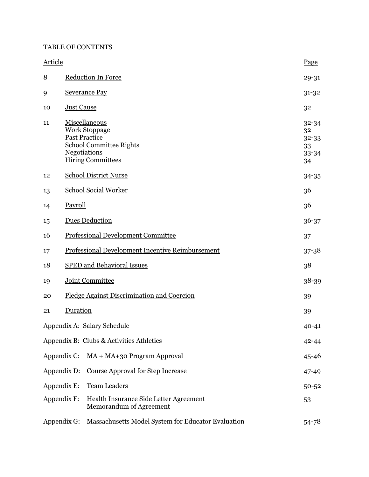#### TABLE OF CONTENTS

| <b>Article</b> |                                                                                                                                             | Page                                          |
|----------------|---------------------------------------------------------------------------------------------------------------------------------------------|-----------------------------------------------|
| 8              | <b>Reduction In Force</b>                                                                                                                   | 29-31                                         |
| 9              | <b>Severance Pay</b>                                                                                                                        | $31 - 32$                                     |
| 10             | <b>Just Cause</b>                                                                                                                           | 32                                            |
| 11             | Miscellaneous<br><b>Work Stoppage</b><br><b>Past Practice</b><br><b>School Committee Rights</b><br>Negotiations<br><b>Hiring Committees</b> | $32 - 34$<br>32<br>32-33<br>33<br>33-34<br>34 |
| 12             | <b>School District Nurse</b>                                                                                                                | 34-35                                         |
| 13             | <b>School Social Worker</b>                                                                                                                 | 36                                            |
| 14             | Payroll                                                                                                                                     | 36                                            |
| 15             | <b>Dues Deduction</b>                                                                                                                       | $36 - 37$                                     |
| 16             | <b>Professional Development Committee</b>                                                                                                   | 37                                            |
| 17             | Professional Development Incentive Reimbursement                                                                                            | $37 - 38$                                     |
| 18             | <b>SPED and Behavioral Issues</b>                                                                                                           | 38                                            |
| 19             | Joint Committee                                                                                                                             | 38-39                                         |
| 20             | Pledge Against Discrimination and Coercion                                                                                                  | 39                                            |
| 21             | Duration                                                                                                                                    | 39                                            |
|                | Appendix A: Salary Schedule                                                                                                                 | $40 - 41$                                     |
|                | Appendix B: Clubs & Activities Athletics                                                                                                    | $42 - 44$                                     |
|                | Appendix C: MA + MA+30 Program Approval                                                                                                     | $45 - 46$                                     |
|                | <b>Course Approval for Step Increase</b><br>Appendix D:                                                                                     | 47-49                                         |
|                | <b>Team Leaders</b><br>Appendix E:                                                                                                          | $50 - 52$                                     |
|                | Appendix F:<br>Health Insurance Side Letter Agreement<br>Memorandum of Agreement                                                            | 53                                            |
|                | Appendix G:<br>Massachusetts Model System for Educator Evaluation                                                                           | 54-78                                         |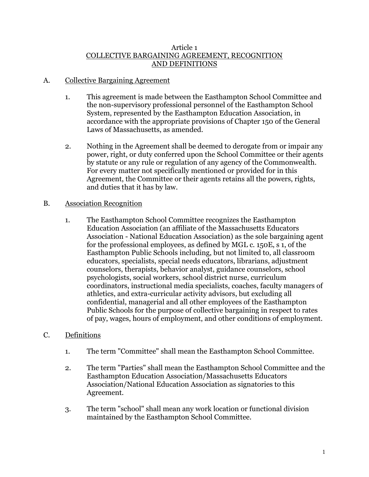#### Article 1 COLLECTIVE BARGAINING AGREEMENT, RECOGNITION AND DEFINITIONS

### A. Collective Bargaining Agreement

- 1. This agreement is made between the Easthampton School Committee and the non-supervisory professional personnel of the Easthampton School System, represented by the Easthampton Education Association, in accordance with the appropriate provisions of Chapter 150 of the General Laws of Massachusetts, as amended.
- 2. Nothing in the Agreement shall be deemed to derogate from or impair any power, right, or duty conferred upon the School Committee or their agents by statute or any rule or regulation of any agency of the Commonwealth. For every matter not specifically mentioned or provided for in this Agreement, the Committee or their agents retains all the powers, rights, and duties that it has by law.

### B. Association Recognition

1. The Easthampton School Committee recognizes the Easthampton Education Association (an affiliate of the Massachusetts Educators Association - National Education Association) as the sole bargaining agent for the professional employees, as defined by MGL c. 150E, s 1, of the Easthampton Public Schools including, but not limited to, all classroom educators, specialists, special needs educators, librarians, adjustment counselors, therapists, behavior analyst, guidance counselors, school psychologists, social workers, school district nurse, curriculum coordinators, instructional media specialists, coaches, faculty managers of athletics, and extra-curricular activity advisors, but excluding all confidential, managerial and all other employees of the Easthampton Public Schools for the purpose of collective bargaining in respect to rates of pay, wages, hours of employment, and other conditions of employment.

## C. Definitions

- 1. The term "Committee" shall mean the Easthampton School Committee.
- 2. The term "Parties" shall mean the Easthampton School Committee and the Easthampton Education Association/Massachusetts Educators Association/National Education Association as signatories to this Agreement.
- 3. The term "school" shall mean any work location or functional division maintained by the Easthampton School Committee.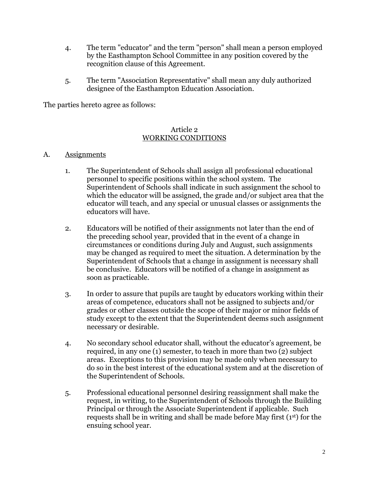- 4. The term "educator" and the term "person" shall mean a person employed by the Easthampton School Committee in any position covered by the recognition clause of this Agreement.
- 5. The term "Association Representative" shall mean any duly authorized designee of the Easthampton Education Association.

The parties hereto agree as follows:

#### Article 2 WORKING CONDITIONS

#### A. Assignments

- 1. The Superintendent of Schools shall assign all professional educational personnel to specific positions within the school system. The Superintendent of Schools shall indicate in such assignment the school to which the educator will be assigned, the grade and/or subject area that the educator will teach, and any special or unusual classes or assignments the educators will have.
- 2. Educators will be notified of their assignments not later than the end of the preceding school year, provided that in the event of a change in circumstances or conditions during July and August, such assignments may be changed as required to meet the situation. A determination by the Superintendent of Schools that a change in assignment is necessary shall be conclusive. Educators will be notified of a change in assignment as soon as practicable.
- 3. In order to assure that pupils are taught by educators working within their areas of competence, educators shall not be assigned to subjects and/or grades or other classes outside the scope of their major or minor fields of study except to the extent that the Superintendent deems such assignment necessary or desirable.
- 4. No secondary school educator shall, without the educator's agreement, be required, in any one (1) semester, to teach in more than two (2) subject areas. Exceptions to this provision may be made only when necessary to do so in the best interest of the educational system and at the discretion of the Superintendent of Schools.
- 5. Professional educational personnel desiring reassignment shall make the request, in writing, to the Superintendent of Schools through the Building Principal or through the Associate Superintendent if applicable. Such requests shall be in writing and shall be made before May first (1st) for the ensuing school year.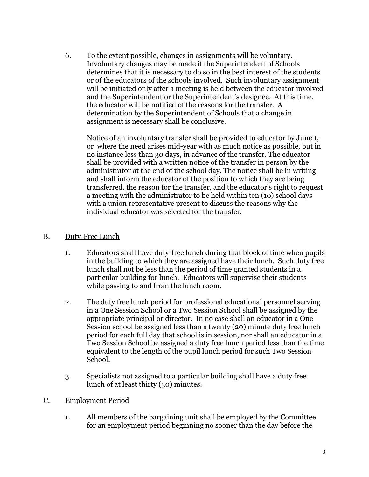6. To the extent possible, changes in assignments will be voluntary. Involuntary changes may be made if the Superintendent of Schools determines that it is necessary to do so in the best interest of the students or of the educators of the schools involved. Such involuntary assignment will be initiated only after a meeting is held between the educator involved and the Superintendent or the Superintendent's designee. At this time, the educator will be notified of the reasons for the transfer. A determination by the Superintendent of Schools that a change in assignment is necessary shall be conclusive.

Notice of an involuntary transfer shall be provided to educator by June 1, or where the need arises mid-year with as much notice as possible, but in no instance less than 30 days, in advance of the transfer. The educator shall be provided with a written notice of the transfer in person by the administrator at the end of the school day. The notice shall be in writing and shall inform the educator of the position to which they are being transferred, the reason for the transfer, and the educator's right to request a meeting with the administrator to be held within ten (10) school days with a union representative present to discuss the reasons why the individual educator was selected for the transfer.

- B. Duty-Free Lunch
	- 1. Educators shall have duty-free lunch during that block of time when pupils in the building to which they are assigned have their lunch. Such duty free lunch shall not be less than the period of time granted students in a particular building for lunch. Educators will supervise their students while passing to and from the lunch room.
	- 2. The duty free lunch period for professional educational personnel serving in a One Session School or a Two Session School shall be assigned by the appropriate principal or director. In no case shall an educator in a One Session school be assigned less than a twenty (20) minute duty free lunch period for each full day that school is in session, nor shall an educator in a Two Session School be assigned a duty free lunch period less than the time equivalent to the length of the pupil lunch period for such Two Session School.
	- 3. Specialists not assigned to a particular building shall have a duty free lunch of at least thirty (30) minutes.
- C. Employment Period
	- 1. All members of the bargaining unit shall be employed by the Committee for an employment period beginning no sooner than the day before the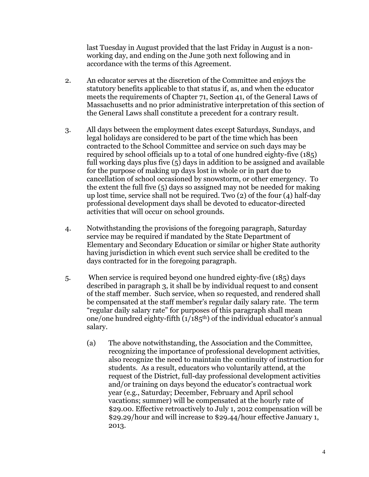last Tuesday in August provided that the last Friday in August is a nonworking day, and ending on the June 30th next following and in accordance with the terms of this Agreement.

- 2. An educator serves at the discretion of the Committee and enjoys the statutory benefits applicable to that status if, as, and when the educator meets the requirements of Chapter 71, Section 41, of the General Laws of Massachusetts and no prior administrative interpretation of this section of the General Laws shall constitute a precedent for a contrary result.
- 3. All days between the employment dates except Saturdays, Sundays, and legal holidays are considered to be part of the time which has been contracted to the School Committee and service on such days may be required by school officials up to a total of one hundred eighty-five (185) full working days plus five (5) days in addition to be assigned and available for the purpose of making up days lost in whole or in part due to cancellation of school occasioned by snowstorm, or other emergency. To the extent the full five (5) days so assigned may not be needed for making up lost time, service shall not be required. Two (2) of the four (4) half-day professional development days shall be devoted to educator-directed activities that will occur on school grounds.
- 4. Notwithstanding the provisions of the foregoing paragraph, Saturday service may be required if mandated by the State Department of Elementary and Secondary Education or similar or higher State authority having jurisdiction in which event such service shall be credited to the days contracted for in the foregoing paragraph.
- 5. When service is required beyond one hundred eighty-five (185) days described in paragraph 3, it shall be by individual request to and consent of the staff member. Such service, when so requested, and rendered shall be compensated at the staff member's regular daily salary rate. The term "regular daily salary rate" for purposes of this paragraph shall mean one/one hundred eighty-fifth  $(1/185<sup>th</sup>)$  of the individual educator's annual salary.
	- (a) The above notwithstanding, the Association and the Committee, recognizing the importance of professional development activities, also recognize the need to maintain the continuity of instruction for students. As a result, educators who voluntarily attend, at the request of the District, full-day professional development activities and/or training on days beyond the educator's contractual work year (e.g., Saturday; December, February and April school vacations; summer) will be compensated at the hourly rate of \$29.00. Effective retroactively to July 1, 2012 compensation will be \$29.29/hour and will increase to \$29.44/hour effective January 1, 2013.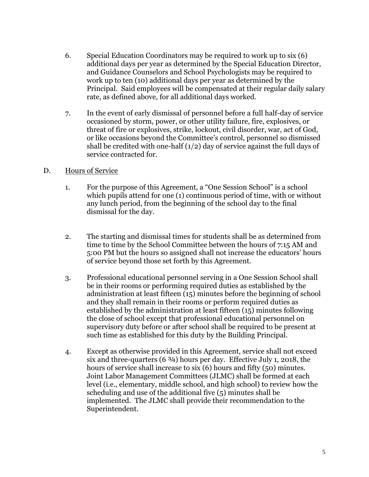- 6. Special Education Coordinators may be required to work up to six (6) additional days per year as determined by the Special Education Director, and Guidance Counselors and School Psychologists may be required to work up to ten (10) additional days per year as determined by the Principal. Said employees will be compensated at their regular daily salary rate, as defined above, for all additional days worked.
- 7. In the event of early dismissal of personnel before a full half-day of service occasioned by storm, power, or other utility failure, fire, explosives, or threat of fire or explosives, strike, lockout, civil disorder, war, act of God, or like occasions beyond the Committee's control, personnel so dismissed shall be credited with one-half  $(1/2)$  day of service against the full days of service contracted for.

### D. Hours of Service

- 1. For the purpose of this Agreement, a "One Session School" is a school which pupils attend for one (1) continuous period of time, with or without any lunch period, from the beginning of the school day to the final dismissal for the day.
- 2. The starting and dismissal times for students shall be as determined from time to time by the School Committee between the hours of 7:15 AM and 5:00 PM but the hours so assigned shall not increase the educators' hours of service beyond those set forth by this Agreement.
- 3. Professional educational personnel serving in a One Session School shall be in their rooms or performing required duties as established by the administration at least fifteen (15) minutes before the beginning of school and they shall remain in their rooms or perform required duties as established by the administration at least fifteen (15) minutes following the close of school except that professional educational personnel on supervisory duty before or after school shall be required to be present at such time as established for this duty by the Building Principal.
- 4. Except as otherwise provided in this Agreement, service shall not exceed six and three-quarters  $(6 \frac{3}{4})$  hours per day. Effective July 1, 2018, the hours of service shall increase to six (6) hours and fifty (50) minutes. Joint Labor Management Committees (JLMC) shall be formed at each level (i.e., elementary, middle school, and high school) to review how the scheduling and use of the additional five (5) minutes shall be implemented. The JLMC shall provide their recommendation to the Superintendent.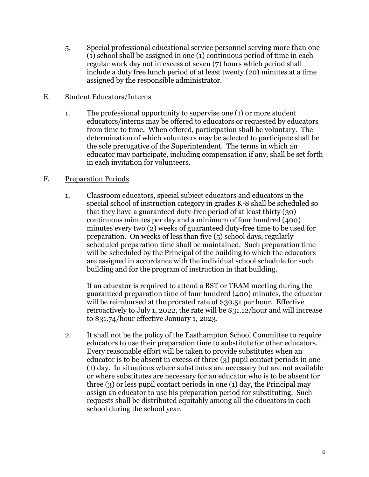5. Special professional educational service personnel serving more than one (1) school shall be assigned in one (1) continuous period of time in each regular work day not in excess of seven (7) hours which period shall include a duty free lunch period of at least twenty (20) minutes at a time assigned by the responsible administrator.

### E. Student Educators/Interns

1. The professional opportunity to supervise one (1) or more student educators/interns may be offered to educators or requested by educators from time to time. When offered, participation shall be voluntary. The determination of which volunteers may be selected to participate shall be the sole prerogative of the Superintendent. The terms in which an educator may participate, including compensation if any, shall be set forth in each invitation for volunteers.

### F. Preparation Periods

1. Classroom educators, special subject educators and educators in the special school of instruction category in grades K-8 shall be scheduled so that they have a guaranteed duty-free period of at least thirty (30) continuous minutes per day and a minimum of four hundred (400) minutes every two (2) weeks of guaranteed duty-free time to be used for preparation. On weeks of less than five (5) school days, regularly scheduled preparation time shall be maintained. Such preparation time will be scheduled by the Principal of the building to which the educators are assigned in accordance with the individual school schedule for such building and for the program of instruction in that building.

If an educator is required to attend a BST or TEAM meeting during the guaranteed preparation time of four hundred (400) minutes, the educator will be reimbursed at the prorated rate of \$30.51 per hour. Effective retroactively to July 1, 2022, the rate will be \$31.12/hour and will increase to \$31.74/hour effective January 1, 2023.

2. It shall not be the policy of the Easthampton School Committee to require educators to use their preparation time to substitute for other educators. Every reasonable effort will be taken to provide substitutes when an educator is to be absent in excess of three (3) pupil contact periods in one (1) day. In situations where substitutes are necessary but are not available or where substitutes are necessary for an educator who is to be absent for three (3) or less pupil contact periods in one (1) day, the Principal may assign an educator to use his preparation period for substituting. Such requests shall be distributed equitably among all the educators in each school during the school year.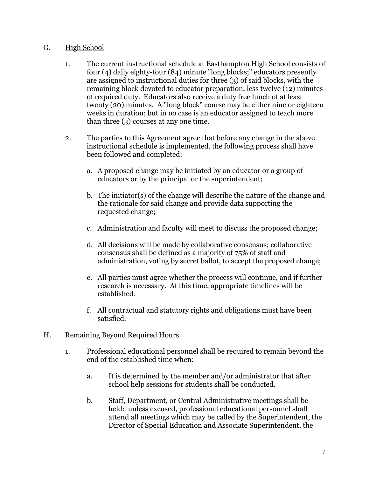## G. High School

- 1. The current instructional schedule at Easthampton High School consists of four (4) daily eighty-four (84) minute "long blocks;" educators presently are assigned to instructional duties for three (3) of said blocks, with the remaining block devoted to educator preparation, less twelve (12) minutes of required duty. Educators also receive a duty free lunch of at least twenty (20) minutes. A "long block" course may be either nine or eighteen weeks in duration; but in no case is an educator assigned to teach more than three (3) courses at any one time.
- 2. The parties to this Agreement agree that before any change in the above instructional schedule is implemented, the following process shall have been followed and completed:
	- a. A proposed change may be initiated by an educator or a group of educators or by the principal or the superintendent;
	- b. The initiator(s) of the change will describe the nature of the change and the rationale for said change and provide data supporting the requested change;
	- c. Administration and faculty will meet to discuss the proposed change;
	- d. All decisions will be made by collaborative consensus; collaborative consensus shall be defined as a majority of 75% of staff and administration, voting by secret ballot, to accept the proposed change;
	- e. All parties must agree whether the process will continue, and if further research is necessary. At this time, appropriate timelines will be established.
	- f. All contractual and statutory rights and obligations must have been satisfied.

#### H. Remaining Beyond Required Hours

- 1. Professional educational personnel shall be required to remain beyond the end of the established time when:
	- a. It is determined by the member and/or administrator that after school help sessions for students shall be conducted.
	- b. Staff, Department, or Central Administrative meetings shall be held: unless excused, professional educational personnel shall attend all meetings which may be called by the Superintendent, the Director of Special Education and Associate Superintendent, the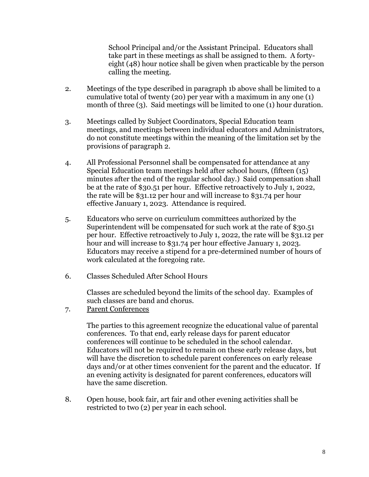School Principal and/or the Assistant Principal. Educators shall take part in these meetings as shall be assigned to them. A fortyeight (48) hour notice shall be given when practicable by the person calling the meeting.

- 2. Meetings of the type described in paragraph 1b above shall be limited to a cumulative total of twenty (20) per year with a maximum in any one (1) month of three (3). Said meetings will be limited to one (1) hour duration.
- 3. Meetings called by Subject Coordinators, Special Education team meetings, and meetings between individual educators and Administrators, do not constitute meetings within the meaning of the limitation set by the provisions of paragraph 2.
- 4. All Professional Personnel shall be compensated for attendance at any Special Education team meetings held after school hours, (fifteen (15) minutes after the end of the regular school day.) Said compensation shall be at the rate of \$30.51 per hour. Effective retroactively to July 1, 2022, the rate will be \$31.12 per hour and will increase to \$31.74 per hour effective January 1, 2023. Attendance is required.
- 5. Educators who serve on curriculum committees authorized by the Superintendent will be compensated for such work at the rate of \$30.51 per hour. Effective retroactively to July 1, 2022, the rate will be \$31.12 per hour and will increase to \$31.74 per hour effective January 1, 2023. Educators may receive a stipend for a pre-determined number of hours of work calculated at the foregoing rate.
- 6. Classes Scheduled After School Hours

Classes are scheduled beyond the limits of the school day. Examples of such classes are band and chorus.

7. Parent Conferences

The parties to this agreement recognize the educational value of parental conferences. To that end, early release days for parent educator conferences will continue to be scheduled in the school calendar. Educators will not be required to remain on these early release days, but will have the discretion to schedule parent conferences on early release days and/or at other times convenient for the parent and the educator. If an evening activity is designated for parent conferences, educators will have the same discretion.

8. Open house, book fair, art fair and other evening activities shall be restricted to two (2) per year in each school.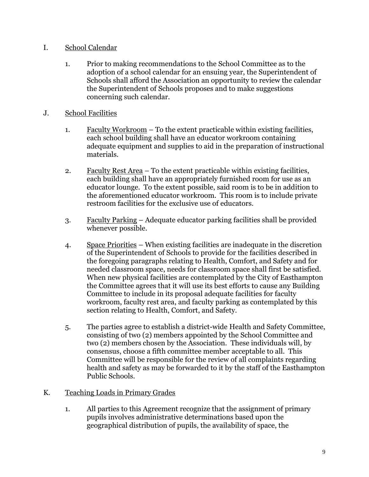## I. School Calendar

- 1. Prior to making recommendations to the School Committee as to the adoption of a school calendar for an ensuing year, the Superintendent of Schools shall afford the Association an opportunity to review the calendar the Superintendent of Schools proposes and to make suggestions concerning such calendar.
- J. School Facilities
	- 1. Faculty Workroom To the extent practicable within existing facilities, each school building shall have an educator workroom containing adequate equipment and supplies to aid in the preparation of instructional materials.
	- 2. Faculty Rest Area To the extent practicable within existing facilities, each building shall have an appropriately furnished room for use as an educator lounge. To the extent possible, said room is to be in addition to the aforementioned educator workroom. This room is to include private restroom facilities for the exclusive use of educators.
	- 3. Faculty Parking Adequate educator parking facilities shall be provided whenever possible.
	- 4. Space Priorities When existing facilities are inadequate in the discretion of the Superintendent of Schools to provide for the facilities described in the foregoing paragraphs relating to Health, Comfort, and Safety and for needed classroom space, needs for classroom space shall first be satisfied. When new physical facilities are contemplated by the City of Easthampton the Committee agrees that it will use its best efforts to cause any Building Committee to include in its proposal adequate facilities for faculty workroom, faculty rest area, and faculty parking as contemplated by this section relating to Health, Comfort, and Safety.
	- 5. The parties agree to establish a district-wide Health and Safety Committee, consisting of two (2) members appointed by the School Committee and two (2) members chosen by the Association. These individuals will, by consensus, choose a fifth committee member acceptable to all. This Committee will be responsible for the review of all complaints regarding health and safety as may be forwarded to it by the staff of the Easthampton Public Schools.

## K. Teaching Loads in Primary Grades

1. All parties to this Agreement recognize that the assignment of primary pupils involves administrative determinations based upon the geographical distribution of pupils, the availability of space, the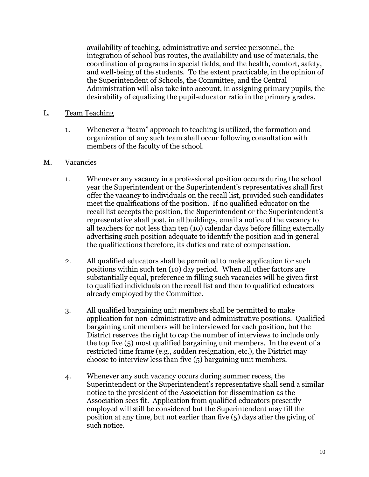availability of teaching, administrative and service personnel, the integration of school bus routes, the availability and use of materials, the coordination of programs in special fields, and the health, comfort, safety, and well-being of the students. To the extent practicable, in the opinion of the Superintendent of Schools, the Committee, and the Central Administration will also take into account, in assigning primary pupils, the desirability of equalizing the pupil-educator ratio in the primary grades.

### L. Team Teaching

1. Whenever a "team" approach to teaching is utilized, the formation and organization of any such team shall occur following consultation with members of the faculty of the school.

#### M. Vacancies

- 1. Whenever any vacancy in a professional position occurs during the school year the Superintendent or the Superintendent's representatives shall first offer the vacancy to individuals on the recall list, provided such candidates meet the qualifications of the position. If no qualified educator on the recall list accepts the position, the Superintendent or the Superintendent's representative shall post, in all buildings, email a notice of the vacancy to all teachers for not less than ten (10) calendar days before filling externally advertising such position adequate to identify the position and in general the qualifications therefore, its duties and rate of compensation.
- 2. All qualified educators shall be permitted to make application for such positions within such ten (10) day period. When all other factors are substantially equal, preference in filling such vacancies will be given first to qualified individuals on the recall list and then to qualified educators already employed by the Committee.
- 3. All qualified bargaining unit members shall be permitted to make application for non-administrative and administrative positions. Qualified bargaining unit members will be interviewed for each position, but the District reserves the right to cap the number of interviews to include only the top five (5) most qualified bargaining unit members. In the event of a restricted time frame (e.g., sudden resignation, etc.), the District may choose to interview less than five (5) bargaining unit members.
- 4. Whenever any such vacancy occurs during summer recess, the Superintendent or the Superintendent's representative shall send a similar notice to the president of the Association for dissemination as the Association sees fit. Application from qualified educators presently employed will still be considered but the Superintendent may fill the position at any time, but not earlier than five (5) days after the giving of such notice.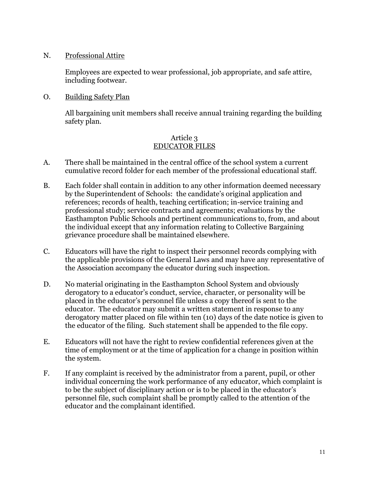#### N. Professional Attire

Employees are expected to wear professional, job appropriate, and safe attire, including footwear.

### O. Building Safety Plan

All bargaining unit members shall receive annual training regarding the building safety plan.

### Article 3 EDUCATOR FILES

- A. There shall be maintained in the central office of the school system a current cumulative record folder for each member of the professional educational staff.
- B. Each folder shall contain in addition to any other information deemed necessary by the Superintendent of Schools: the candidate's original application and references; records of health, teaching certification; in-service training and professional study; service contracts and agreements; evaluations by the Easthampton Public Schools and pertinent communications to, from, and about the individual except that any information relating to Collective Bargaining grievance procedure shall be maintained elsewhere.
- C. Educators will have the right to inspect their personnel records complying with the applicable provisions of the General Laws and may have any representative of the Association accompany the educator during such inspection.
- D. No material originating in the Easthampton School System and obviously derogatory to a educator's conduct, service, character, or personality will be placed in the educator's personnel file unless a copy thereof is sent to the educator. The educator may submit a written statement in response to any derogatory matter placed on file within ten (10) days of the date notice is given to the educator of the filing. Such statement shall be appended to the file copy.
- E. Educators will not have the right to review confidential references given at the time of employment or at the time of application for a change in position within the system.
- F. If any complaint is received by the administrator from a parent, pupil, or other individual concerning the work performance of any educator, which complaint is to be the subject of disciplinary action or is to be placed in the educator's personnel file, such complaint shall be promptly called to the attention of the educator and the complainant identified.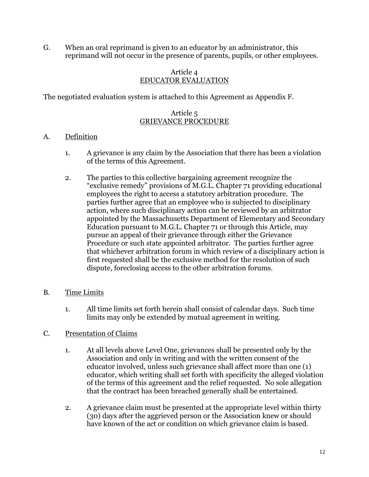G. When an oral reprimand is given to an educator by an administrator, this reprimand will not occur in the presence of parents, pupils, or other employees.

#### Article 4 EDUCATOR EVALUATION

The negotiated evaluation system is attached to this Agreement as Appendix F.

### Article 5 GRIEVANCE PROCEDURE

## A. Definition

- 1. A grievance is any claim by the Association that there has been a violation of the terms of this Agreement.
- 2. The parties to this collective bargaining agreement recognize the "exclusive remedy" provisions of M.G.L. Chapter 71 providing educational employees the right to access a statutory arbitration procedure. The parties further agree that an employee who is subjected to disciplinary action, where such disciplinary action can be reviewed by an arbitrator appointed by the Massachusetts Department of Elementary and Secondary Education pursuant to M.G.L. Chapter 71 or through this Article, may pursue an appeal of their grievance through either the Grievance Procedure or such state appointed arbitrator. The parties further agree that whichever arbitration forum in which review of a disciplinary action is first requested shall be the exclusive method for the resolution of such dispute, foreclosing access to the other arbitration forums.
- B. Time Limits
	- 1. All time limits set forth herein shall consist of calendar days. Such time limits may only be extended by mutual agreement in writing.

## C. Presentation of Claims

- 1. At all levels above Level One, grievances shall be presented only by the Association and only in writing and with the written consent of the educator involved, unless such grievance shall affect more than one (1) educator, which writing shall set forth with specificity the alleged violation of the terms of this agreement and the relief requested. No sole allegation that the contract has been breached generally shall be entertained.
- 2. A grievance claim must be presented at the appropriate level within thirty (30) days after the aggrieved person or the Association knew or should have known of the act or condition on which grievance claim is based.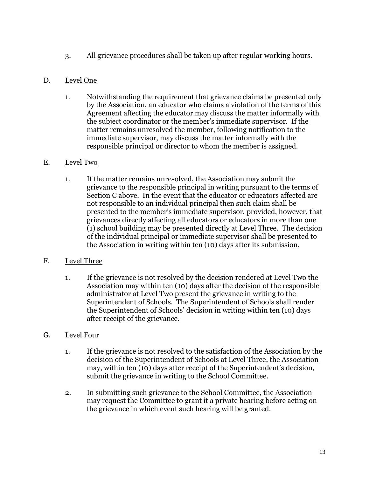3. All grievance procedures shall be taken up after regular working hours.

## D. Level One

1. Notwithstanding the requirement that grievance claims be presented only by the Association, an educator who claims a violation of the terms of this Agreement affecting the educator may discuss the matter informally with the subject coordinator or the member's immediate supervisor. If the matter remains unresolved the member, following notification to the immediate supervisor, may discuss the matter informally with the responsible principal or director to whom the member is assigned.

### E. Level Two

1. If the matter remains unresolved, the Association may submit the grievance to the responsible principal in writing pursuant to the terms of Section C above. In the event that the educator or educators affected are not responsible to an individual principal then such claim shall be presented to the member's immediate supervisor, provided, however, that grievances directly affecting all educators or educators in more than one (1) school building may be presented directly at Level Three. The decision of the individual principal or immediate supervisor shall be presented to the Association in writing within ten (10) days after its submission.

## F. Level Three

1. If the grievance is not resolved by the decision rendered at Level Two the Association may within ten (10) days after the decision of the responsible administrator at Level Two present the grievance in writing to the Superintendent of Schools. The Superintendent of Schools shall render the Superintendent of Schools' decision in writing within ten (10) days after receipt of the grievance.

## G. Level Four

- 1. If the grievance is not resolved to the satisfaction of the Association by the decision of the Superintendent of Schools at Level Three, the Association may, within ten (10) days after receipt of the Superintendent's decision, submit the grievance in writing to the School Committee.
- 2. In submitting such grievance to the School Committee, the Association may request the Committee to grant it a private hearing before acting on the grievance in which event such hearing will be granted.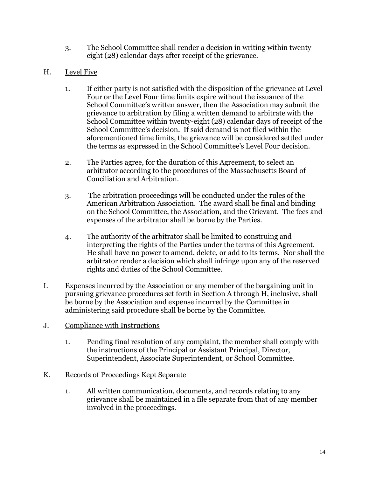- 3. The School Committee shall render a decision in writing within twentyeight (28) calendar days after receipt of the grievance.
- H. Level Five
	- 1. If either party is not satisfied with the disposition of the grievance at Level Four or the Level Four time limits expire without the issuance of the School Committee's written answer, then the Association may submit the grievance to arbitration by filing a written demand to arbitrate with the School Committee within twenty-eight (28) calendar days of receipt of the School Committee's decision. If said demand is not filed within the aforementioned time limits, the grievance will be considered settled under the terms as expressed in the School Committee's Level Four decision.
	- 2. The Parties agree, for the duration of this Agreement, to select an arbitrator according to the procedures of the Massachusetts Board of Conciliation and Arbitration.
	- 3. The arbitration proceedings will be conducted under the rules of the American Arbitration Association. The award shall be final and binding on the School Committee, the Association, and the Grievant. The fees and expenses of the arbitrator shall be borne by the Parties.
	- 4. The authority of the arbitrator shall be limited to construing and interpreting the rights of the Parties under the terms of this Agreement. He shall have no power to amend, delete, or add to its terms. Nor shall the arbitrator render a decision which shall infringe upon any of the reserved rights and duties of the School Committee.
- I. Expenses incurred by the Association or any member of the bargaining unit in pursuing grievance procedures set forth in Section A through H, inclusive, shall be borne by the Association and expense incurred by the Committee in administering said procedure shall be borne by the Committee.
- J. Compliance with Instructions
	- 1. Pending final resolution of any complaint, the member shall comply with the instructions of the Principal or Assistant Principal, Director, Superintendent, Associate Superintendent, or School Committee.
- K. Records of Proceedings Kept Separate
	- 1. All written communication, documents, and records relating to any grievance shall be maintained in a file separate from that of any member involved in the proceedings.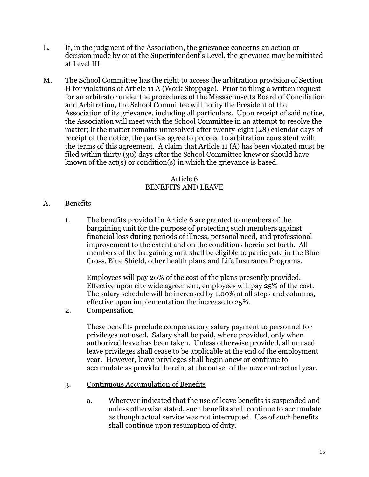- L. If, in the judgment of the Association, the grievance concerns an action or decision made by or at the Superintendent's Level, the grievance may be initiated at Level III.
- M. The School Committee has the right to access the arbitration provision of Section H for violations of Article 11 A (Work Stoppage). Prior to filing a written request for an arbitrator under the procedures of the Massachusetts Board of Conciliation and Arbitration, the School Committee will notify the President of the Association of its grievance, including all particulars. Upon receipt of said notice, the Association will meet with the School Committee in an attempt to resolve the matter; if the matter remains unresolved after twenty-eight (28) calendar days of receipt of the notice, the parties agree to proceed to arbitration consistent with the terms of this agreement. A claim that Article 11 (A) has been violated must be filed within thirty (30) days after the School Committee knew or should have known of the act(s) or condition(s) in which the grievance is based.

#### Article 6 BENEFITS AND LEAVE

## A. Benefits

1. The benefits provided in Article 6 are granted to members of the bargaining unit for the purpose of protecting such members against financial loss during periods of illness, personal need, and professional improvement to the extent and on the conditions herein set forth. All members of the bargaining unit shall be eligible to participate in the Blue Cross, Blue Shield, other health plans and Life Insurance Programs.

Employees will pay 20% of the cost of the plans presently provided. Effective upon city wide agreement, employees will pay 25% of the cost. The salary schedule will be increased by 1.00% at all steps and columns, effective upon implementation the increase to 25%.

2. Compensation

These benefits preclude compensatory salary payment to personnel for privileges not used. Salary shall be paid, where provided, only when authorized leave has been taken. Unless otherwise provided, all unused leave privileges shall cease to be applicable at the end of the employment year. However, leave privileges shall begin anew or continue to accumulate as provided herein, at the outset of the new contractual year.

- 3. Continuous Accumulation of Benefits
	- a. Wherever indicated that the use of leave benefits is suspended and unless otherwise stated, such benefits shall continue to accumulate as though actual service was not interrupted. Use of such benefits shall continue upon resumption of duty.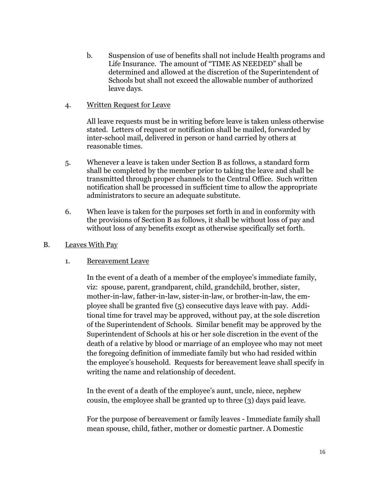- b. Suspension of use of benefits shall not include Health programs and Life Insurance. The amount of "TIME AS NEEDED" shall be determined and allowed at the discretion of the Superintendent of Schools but shall not exceed the allowable number of authorized leave days.
- 4. Written Request for Leave

All leave requests must be in writing before leave is taken unless otherwise stated. Letters of request or notification shall be mailed, forwarded by inter-school mail, delivered in person or hand carried by others at reasonable times.

- 5. Whenever a leave is taken under Section B as follows, a standard form shall be completed by the member prior to taking the leave and shall be transmitted through proper channels to the Central Office. Such written notification shall be processed in sufficient time to allow the appropriate administrators to secure an adequate substitute.
- 6. When leave is taken for the purposes set forth in and in conformity with the provisions of Section B as follows, it shall be without loss of pay and without loss of any benefits except as otherwise specifically set forth.
- B. Leaves With Pay
	- 1. Bereavement Leave

In the event of a death of a member of the employee's immediate family, viz: spouse, parent, grandparent, child, grandchild, brother, sister, mother-in-law, father-in-law, sister-in-law, or brother-in-law, the employee shall be granted five (5) consecutive days leave with pay. Additional time for travel may be approved, without pay, at the sole discretion of the Superintendent of Schools. Similar benefit may be approved by the Superintendent of Schools at his or her sole discretion in the event of the death of a relative by blood or marriage of an employee who may not meet the foregoing definition of immediate family but who had resided within the employee's household. Requests for bereavement leave shall specify in writing the name and relationship of decedent.

In the event of a death of the employee's aunt, uncle, niece, nephew cousin, the employee shall be granted up to three (3) days paid leave.

For the purpose of bereavement or family leaves - Immediate family shall mean spouse, child, father, mother or domestic partner. A Domestic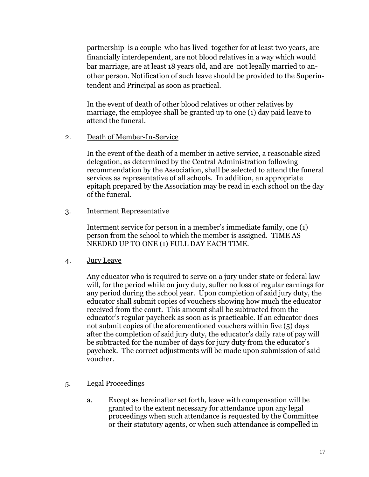partnership is a couple who has lived together for at least two years, are financially interdependent, are not blood relatives in a way which would bar marriage, are at least 18 years old, and are not legally married to another person. Notification of such leave should be provided to the Superintendent and Principal as soon as practical.

In the event of death of other blood relatives or other relatives by marriage, the employee shall be granted up to one (1) day paid leave to attend the funeral.

2. Death of Member-In-Service

In the event of the death of a member in active service, a reasonable sized delegation, as determined by the Central Administration following recommendation by the Association, shall be selected to attend the funeral services as representative of all schools. In addition, an appropriate epitaph prepared by the Association may be read in each school on the day of the funeral.

3. Interment Representative

Interment service for person in a member's immediate family, one (1) person from the school to which the member is assigned. TIME AS NEEDED UP TO ONE (1) FULL DAY EACH TIME.

4. Jury Leave

Any educator who is required to serve on a jury under state or federal law will, for the period while on jury duty, suffer no loss of regular earnings for any period during the school year. Upon completion of said jury duty, the educator shall submit copies of vouchers showing how much the educator received from the court. This amount shall be subtracted from the educator's regular paycheck as soon as is practicable. If an educator does not submit copies of the aforementioned vouchers within five (5) days after the completion of said jury duty, the educator's daily rate of pay will be subtracted for the number of days for jury duty from the educator's paycheck. The correct adjustments will be made upon submission of said voucher.

- 5. Legal Proceedings
	- a. Except as hereinafter set forth, leave with compensation will be granted to the extent necessary for attendance upon any legal proceedings when such attendance is requested by the Committee or their statutory agents, or when such attendance is compelled in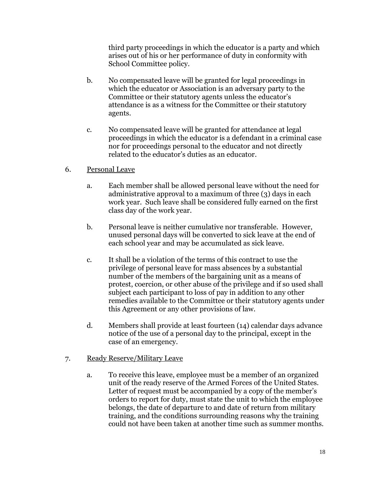third party proceedings in which the educator is a party and which arises out of his or her performance of duty in conformity with School Committee policy.

- b. No compensated leave will be granted for legal proceedings in which the educator or Association is an adversary party to the Committee or their statutory agents unless the educator's attendance is as a witness for the Committee or their statutory agents.
- c. No compensated leave will be granted for attendance at legal proceedings in which the educator is a defendant in a criminal case nor for proceedings personal to the educator and not directly related to the educator's duties as an educator.

#### 6. Personal Leave

- a. Each member shall be allowed personal leave without the need for administrative approval to a maximum of three (3) days in each work year. Such leave shall be considered fully earned on the first class day of the work year.
- b. Personal leave is neither cumulative nor transferable. However, unused personal days will be converted to sick leave at the end of each school year and may be accumulated as sick leave.
- c. It shall be a violation of the terms of this contract to use the privilege of personal leave for mass absences by a substantial number of the members of the bargaining unit as a means of protest, coercion, or other abuse of the privilege and if so used shall subject each participant to loss of pay in addition to any other remedies available to the Committee or their statutory agents under this Agreement or any other provisions of law.
- d. Members shall provide at least fourteen (14) calendar days advance notice of the use of a personal day to the principal, except in the case of an emergency.

#### 7. Ready Reserve/Military Leave

a. To receive this leave, employee must be a member of an organized unit of the ready reserve of the Armed Forces of the United States. Letter of request must be accompanied by a copy of the member's orders to report for duty, must state the unit to which the employee belongs, the date of departure to and date of return from military training, and the conditions surrounding reasons why the training could not have been taken at another time such as summer months.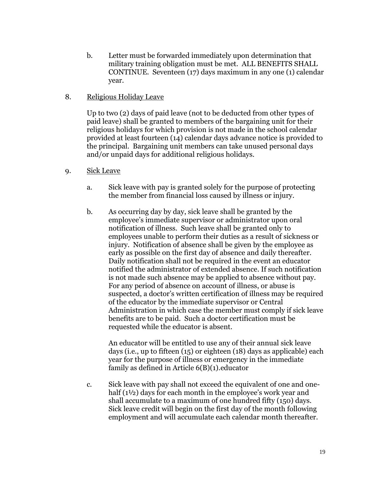- b. Letter must be forwarded immediately upon determination that military training obligation must be met. ALL BENEFITS SHALL CONTINUE. Seventeen (17) days maximum in any one (1) calendar year.
- 8. Religious Holiday Leave

Up to two (2) days of paid leave (not to be deducted from other types of paid leave) shall be granted to members of the bargaining unit for their religious holidays for which provision is not made in the school calendar provided at least fourteen (14) calendar days advance notice is provided to the principal. Bargaining unit members can take unused personal days and/or unpaid days for additional religious holidays.

- 9. Sick Leave
	- a. Sick leave with pay is granted solely for the purpose of protecting the member from financial loss caused by illness or injury.
	- b. As occurring day by day, sick leave shall be granted by the employee's immediate supervisor or administrator upon oral notification of illness. Such leave shall be granted only to employees unable to perform their duties as a result of sickness or injury. Notification of absence shall be given by the employee as early as possible on the first day of absence and daily thereafter. Daily notification shall not be required in the event an educator notified the administrator of extended absence. If such notification is not made such absence may be applied to absence without pay. For any period of absence on account of illness, or abuse is suspected, a doctor's written certification of illness may be required of the educator by the immediate supervisor or Central Administration in which case the member must comply if sick leave benefits are to be paid. Such a doctor certification must be requested while the educator is absent.

An educator will be entitled to use any of their annual sick leave days (i.e., up to fifteen (15) or eighteen (18) days as applicable) each year for the purpose of illness or emergency in the immediate family as defined in Article 6(B)(1).educator

c. Sick leave with pay shall not exceed the equivalent of one and onehalf (1½) days for each month in the employee's work year and shall accumulate to a maximum of one hundred fifty (150) days. Sick leave credit will begin on the first day of the month following employment and will accumulate each calendar month thereafter.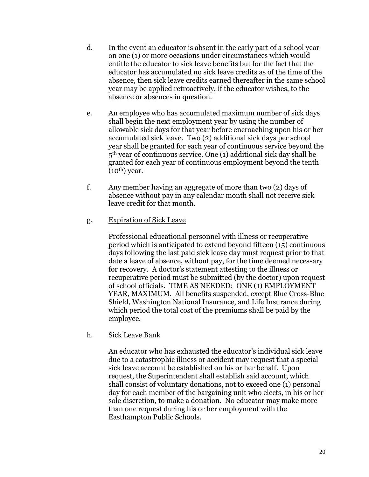- d. In the event an educator is absent in the early part of a school year on one (1) or more occasions under circumstances which would entitle the educator to sick leave benefits but for the fact that the educator has accumulated no sick leave credits as of the time of the absence, then sick leave credits earned thereafter in the same school year may be applied retroactively, if the educator wishes, to the absence or absences in question.
- e. An employee who has accumulated maximum number of sick days shall begin the next employment year by using the number of allowable sick days for that year before encroaching upon his or her accumulated sick leave. Two (2) additional sick days per school year shall be granted for each year of continuous service beyond the 5th year of continuous service. One (1) additional sick day shall be granted for each year of continuous employment beyond the tenth  $(10^{th})$  year.
- f. Any member having an aggregate of more than two (2) days of absence without pay in any calendar month shall not receive sick leave credit for that month.
- g. Expiration of Sick Leave

Professional educational personnel with illness or recuperative period which is anticipated to extend beyond fifteen (15) continuous days following the last paid sick leave day must request prior to that date a leave of absence, without pay, for the time deemed necessary for recovery. A doctor's statement attesting to the illness or recuperative period must be submitted (by the doctor) upon request of school officials. TIME AS NEEDED: ONE (1) EMPLOYMENT YEAR, MAXIMUM. All benefits suspended, except Blue Cross-Blue Shield, Washington National Insurance, and Life Insurance during which period the total cost of the premiums shall be paid by the employee.

h. Sick Leave Bank

An educator who has exhausted the educator's individual sick leave due to a catastrophic illness or accident may request that a special sick leave account be established on his or her behalf. Upon request, the Superintendent shall establish said account, which shall consist of voluntary donations, not to exceed one (1) personal day for each member of the bargaining unit who elects, in his or her sole discretion, to make a donation. No educator may make more than one request during his or her employment with the Easthampton Public Schools.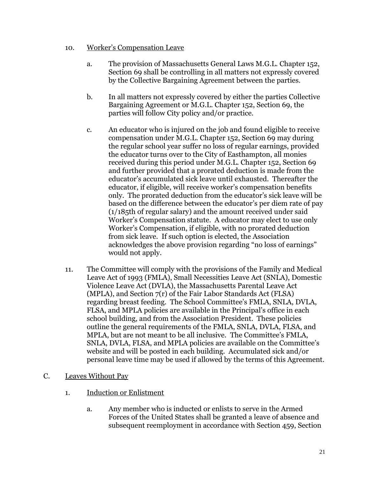### 10. Worker's Compensation Leave

- a. The provision of Massachusetts General Laws M.G.L. Chapter 152, Section 69 shall be controlling in all matters not expressly covered by the Collective Bargaining Agreement between the parties.
- b. In all matters not expressly covered by either the parties Collective Bargaining Agreement or M.G.L. Chapter 152, Section 69, the parties will follow City policy and/or practice.
- c. An educator who is injured on the job and found eligible to receive compensation under M.G.L. Chapter 152, Section 69 may during the regular school year suffer no loss of regular earnings, provided the educator turns over to the City of Easthampton, all monies received during this period under M.G.L. Chapter 152, Section 69 and further provided that a prorated deduction is made from the educator's accumulated sick leave until exhausted. Thereafter the educator, if eligible, will receive worker's compensation benefits only. The prorated deduction from the educator's sick leave will be based on the difference between the educator's per diem rate of pay (1/185th of regular salary) and the amount received under said Worker's Compensation statute. A educator may elect to use only Worker's Compensation, if eligible, with no prorated deduction from sick leave. If such option is elected, the Association acknowledges the above provision regarding "no loss of earnings" would not apply.
- 11. The Committee will comply with the provisions of the Family and Medical Leave Act of 1993 (FMLA), Small Necessities Leave Act (SNLA), Domestic Violence Leave Act (DVLA), the Massachusetts Parental Leave Act (MPLA), and Section 7(r) of the Fair Labor Standards Act (FLSA) regarding breast feeding. The School Committee's FMLA, SNLA, DVLA, FLSA, and MPLA policies are available in the Principal's office in each school building, and from the Association President. These policies outline the general requirements of the FMLA, SNLA, DVLA, FLSA, and MPLA, but are not meant to be all inclusive. The Committee's FMLA, SNLA, DVLA, FLSA, and MPLA policies are available on the Committee's website and will be posted in each building. Accumulated sick and/or personal leave time may be used if allowed by the terms of this Agreement.
- C. Leaves Without Pay
	- 1. Induction or Enlistment
		- a. Any member who is inducted or enlists to serve in the Armed Forces of the United States shall be granted a leave of absence and subsequent reemployment in accordance with Section 459, Section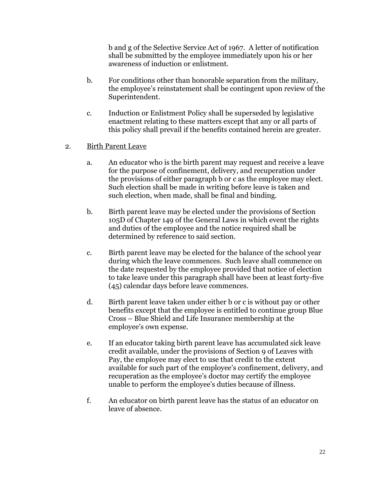b and g of the Selective Service Act of 1967. A letter of notification shall be submitted by the employee immediately upon his or her awareness of induction or enlistment.

- b. For conditions other than honorable separation from the military, the employee's reinstatement shall be contingent upon review of the Superintendent.
- c. Induction or Enlistment Policy shall be superseded by legislative enactment relating to these matters except that any or all parts of this policy shall prevail if the benefits contained herein are greater.
- 2. Birth Parent Leave
	- a. An educator who is the birth parent may request and receive a leave for the purpose of confinement, delivery, and recuperation under the provisions of either paragraph b or c as the employee may elect. Such election shall be made in writing before leave is taken and such election, when made, shall be final and binding.
	- b. Birth parent leave may be elected under the provisions of Section 105D of Chapter 149 of the General Laws in which event the rights and duties of the employee and the notice required shall be determined by reference to said section.
	- c. Birth parent leave may be elected for the balance of the school year during which the leave commences. Such leave shall commence on the date requested by the employee provided that notice of election to take leave under this paragraph shall have been at least forty-five (45) calendar days before leave commences.
	- d. Birth parent leave taken under either b or c is without pay or other benefits except that the employee is entitled to continue group Blue Cross – Blue Shield and Life Insurance membership at the employee's own expense.
	- e. If an educator taking birth parent leave has accumulated sick leave credit available, under the provisions of Section 9 of Leaves with Pay, the employee may elect to use that credit to the extent available for such part of the employee's confinement, delivery, and recuperation as the employee's doctor may certify the employee unable to perform the employee's duties because of illness.
	- f. An educator on birth parent leave has the status of an educator on leave of absence.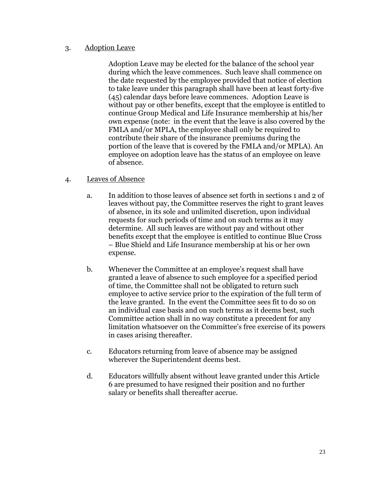#### 3. Adoption Leave

Adoption Leave may be elected for the balance of the school year during which the leave commences. Such leave shall commence on the date requested by the employee provided that notice of election to take leave under this paragraph shall have been at least forty-five (45) calendar days before leave commences. Adoption Leave is without pay or other benefits, except that the employee is entitled to continue Group Medical and Life Insurance membership at his/her own expense (note: in the event that the leave is also covered by the FMLA and/or MPLA, the employee shall only be required to contribute their share of the insurance premiums during the portion of the leave that is covered by the FMLA and/or MPLA). An employee on adoption leave has the status of an employee on leave of absence.

### 4. Leaves of Absence

- a. In addition to those leaves of absence set forth in sections 1 and 2 of leaves without pay, the Committee reserves the right to grant leaves of absence, in its sole and unlimited discretion, upon individual requests for such periods of time and on such terms as it may determine. All such leaves are without pay and without other benefits except that the employee is entitled to continue Blue Cross – Blue Shield and Life Insurance membership at his or her own expense.
- b. Whenever the Committee at an employee's request shall have granted a leave of absence to such employee for a specified period of time, the Committee shall not be obligated to return such employee to active service prior to the expiration of the full term of the leave granted. In the event the Committee sees fit to do so on an individual case basis and on such terms as it deems best, such Committee action shall in no way constitute a precedent for any limitation whatsoever on the Committee's free exercise of its powers in cases arising thereafter.
- c. Educators returning from leave of absence may be assigned wherever the Superintendent deems best.
- d. Educators willfully absent without leave granted under this Article 6 are presumed to have resigned their position and no further salary or benefits shall thereafter accrue.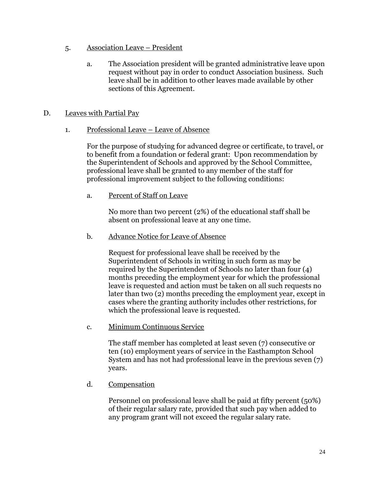- 5. Association Leave President
	- a. The Association president will be granted administrative leave upon request without pay in order to conduct Association business. Such leave shall be in addition to other leaves made available by other sections of this Agreement.

## D. Leaves with Partial Pay

1. Professional Leave – Leave of Absence

For the purpose of studying for advanced degree or certificate, to travel, or to benefit from a foundation or federal grant: Upon recommendation by the Superintendent of Schools and approved by the School Committee, professional leave shall be granted to any member of the staff for professional improvement subject to the following conditions:

a. Percent of Staff on Leave

No more than two percent (2%) of the educational staff shall be absent on professional leave at any one time.

b. Advance Notice for Leave of Absence

Request for professional leave shall be received by the Superintendent of Schools in writing in such form as may be required by the Superintendent of Schools no later than four (4) months preceding the employment year for which the professional leave is requested and action must be taken on all such requests no later than two (2) months preceding the employment year, except in cases where the granting authority includes other restrictions, for which the professional leave is requested.

c. Minimum Continuous Service

The staff member has completed at least seven (7) consecutive or ten (10) employment years of service in the Easthampton School System and has not had professional leave in the previous seven (7) years.

d. Compensation

Personnel on professional leave shall be paid at fifty percent (50%) of their regular salary rate, provided that such pay when added to any program grant will not exceed the regular salary rate.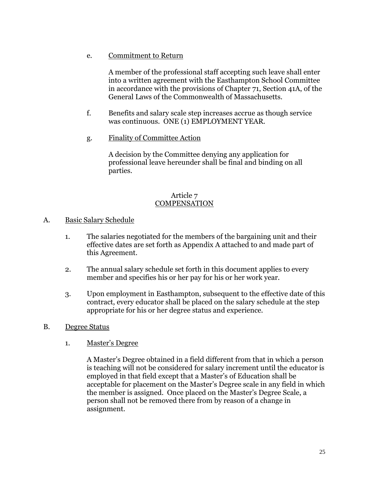e. Commitment to Return

A member of the professional staff accepting such leave shall enter into a written agreement with the Easthampton School Committee in accordance with the provisions of Chapter 71, Section 41A, of the General Laws of the Commonwealth of Massachusetts.

- f. Benefits and salary scale step increases accrue as though service was continuous. ONE (1) EMPLOYMENT YEAR.
- g. Finality of Committee Action

A decision by the Committee denying any application for professional leave hereunder shall be final and binding on all parties.

#### Article 7 **COMPENSATION**

#### A. Basic Salary Schedule

- 1. The salaries negotiated for the members of the bargaining unit and their effective dates are set forth as Appendix A attached to and made part of this Agreement.
- 2. The annual salary schedule set forth in this document applies to every member and specifies his or her pay for his or her work year.
- 3. Upon employment in Easthampton, subsequent to the effective date of this contract, every educator shall be placed on the salary schedule at the step appropriate for his or her degree status and experience.
- B. Degree Status
	- 1. Master's Degree

A Master's Degree obtained in a field different from that in which a person is teaching will not be considered for salary increment until the educator is employed in that field except that a Master's of Education shall be acceptable for placement on the Master's Degree scale in any field in which the member is assigned. Once placed on the Master's Degree Scale, a person shall not be removed there from by reason of a change in assignment.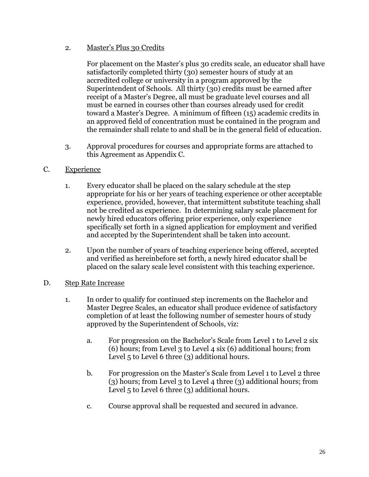## 2. Master's Plus 30 Credits

For placement on the Master's plus 30 credits scale, an educator shall have satisfactorily completed thirty (30) semester hours of study at an accredited college or university in a program approved by the Superintendent of Schools. All thirty (30) credits must be earned after receipt of a Master's Degree, all must be graduate level courses and all must be earned in courses other than courses already used for credit toward a Master's Degree. A minimum of fifteen (15) academic credits in an approved field of concentration must be contained in the program and the remainder shall relate to and shall be in the general field of education.

- 3. Approval procedures for courses and appropriate forms are attached to this Agreement as Appendix C.
- C. Experience
	- 1. Every educator shall be placed on the salary schedule at the step appropriate for his or her years of teaching experience or other acceptable experience, provided, however, that intermittent substitute teaching shall not be credited as experience. In determining salary scale placement for newly hired educators offering prior experience, only experience specifically set forth in a signed application for employment and verified and accepted by the Superintendent shall be taken into account.
	- 2. Upon the number of years of teaching experience being offered, accepted and verified as hereinbefore set forth, a newly hired educator shall be placed on the salary scale level consistent with this teaching experience.
- D. Step Rate Increase
	- 1. In order to qualify for continued step increments on the Bachelor and Master Degree Scales, an educator shall produce evidence of satisfactory completion of at least the following number of semester hours of study approved by the Superintendent of Schools, viz:
		- a. For progression on the Bachelor's Scale from Level 1 to Level 2 six (6) hours; from Level 3 to Level 4 six (6) additional hours; from Level 5 to Level 6 three (3) additional hours.
		- b. For progression on the Master's Scale from Level 1 to Level 2 three (3) hours; from Level 3 to Level 4 three (3) additional hours; from Level 5 to Level 6 three (3) additional hours.
		- c. Course approval shall be requested and secured in advance.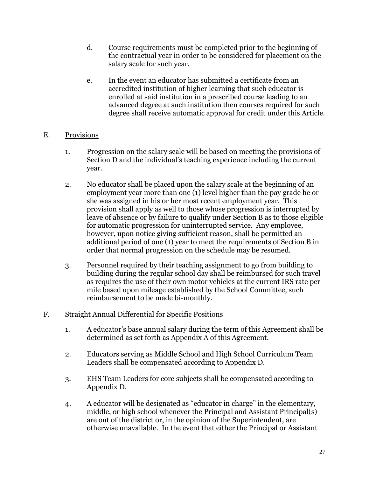- d. Course requirements must be completed prior to the beginning of the contractual year in order to be considered for placement on the salary scale for such year.
- e. In the event an educator has submitted a certificate from an accredited institution of higher learning that such educator is enrolled at said institution in a prescribed course leading to an advanced degree at such institution then courses required for such degree shall receive automatic approval for credit under this Article.

## E. Provisions

- 1. Progression on the salary scale will be based on meeting the provisions of Section D and the individual's teaching experience including the current year.
- 2. No educator shall be placed upon the salary scale at the beginning of an employment year more than one (1) level higher than the pay grade he or she was assigned in his or her most recent employment year. This provision shall apply as well to those whose progression is interrupted by leave of absence or by failure to qualify under Section B as to those eligible for automatic progression for uninterrupted service. Any employee, however, upon notice giving sufficient reason, shall be permitted an additional period of one (1) year to meet the requirements of Section B in order that normal progression on the schedule may be resumed.
- 3. Personnel required by their teaching assignment to go from building to building during the regular school day shall be reimbursed for such travel as requires the use of their own motor vehicles at the current IRS rate per mile based upon mileage established by the School Committee, such reimbursement to be made bi-monthly.
- F. Straight Annual Differential for Specific Positions
	- 1. A educator's base annual salary during the term of this Agreement shall be determined as set forth as Appendix A of this Agreement.
	- 2. Educators serving as Middle School and High School Curriculum Team Leaders shall be compensated according to Appendix D.
	- 3. EHS Team Leaders for core subjects shall be compensated according to Appendix D.
	- 4. A educator will be designated as "educator in charge" in the elementary, middle, or high school whenever the Principal and Assistant Principal(s) are out of the district or, in the opinion of the Superintendent, are otherwise unavailable. In the event that either the Principal or Assistant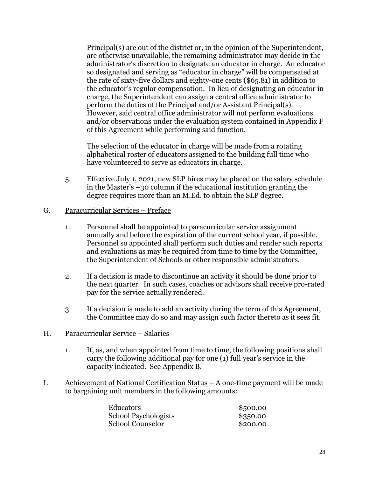Principal(s) are out of the district or, in the opinion of the Superintendent, are otherwise unavailable, the remaining administrator may decide in the administrator's discretion to designate an educator in charge. An educator so designated and serving as "educator in charge" will be compensated at the rate of sixty-five dollars and eighty-one cents (\$65.81) in addition to the educator's regular compensation. In lieu of designating an educator in charge, the Superintendent can assign a central office administrator to perform the duties of the Principal and/or Assistant Principal(s). However, said central office administrator will not perform evaluations and/or observations under the evaluation system contained in Appendix F of this Agreement while performing said function.

The selection of the educator in charge will be made from a rotating alphabetical roster of educators assigned to the building full time who have volunteered to serve as educators in charge.

- 5. Effective July 1, 2021, new SLP hires may be placed on the salary schedule in the Master's +30 column if the educational institution granting the degree requires more than an M.Ed. to obtain the SLP degree.
- G. Paracurricular Services Preface
	- 1. Personnel shall be appointed to paracurricular service assignment annually and before the expiration of the current school year, if possible. Personnel so appointed shall perform such duties and render such reports and evaluations as may be required from time to time by the Committee, the Superintendent of Schools or other responsible administrators.
	- 2. If a decision is made to discontinue an activity it should be done prior to the next quarter. In such cases, coaches or advisors shall receive pro-rated pay for the service actually rendered.
	- 3. If a decision is made to add an activity during the term of this Agreement, the Committee may do so and may assign such factor thereto as it sees fit.
- H. Paracurricular Service Salaries
	- 1. If, as, and when appointed from time to time, the following positions shall carry the following additional pay for one (1) full year's service in the capacity indicated. See Appendix B.
- I. Achievement of National Certification Status A one-time payment will be made to bargaining unit members in the following amounts:

| <b>Educators</b>        | \$500.00 |
|-------------------------|----------|
| School Psychologists    | \$350.00 |
| <b>School Counselor</b> | \$200.00 |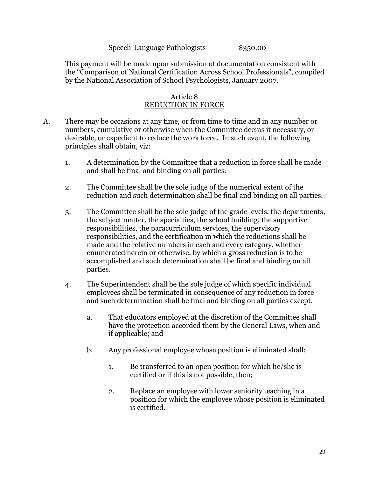#### Speech-Language Pathologists  $$350.00$

This payment will be made upon submission of documentation consistent with the "Comparison of National Certification Across School Professionals", compiled by the National Association of School Psychologists, January 2007.

#### Article 8 REDUCTION IN FORCE

- A. There may be occasions at any time, or from time to time and in any number or numbers, cumulative or otherwise when the Committee deems it necessary, or desirable, or expedient to reduce the work force. In such event, the following principles shall obtain, viz:
	- 1. A determination by the Committee that a reduction in force shall be made and shall be final and binding on all parties.
	- 2. The Committee shall be the sole judge of the numerical extent of the reduction and such determination shall be final and binding on all parties.
	- 3. The Committee shall be the sole judge of the grade levels, the departments, the subject matter, the specialties, the school building, the supportive responsibilities, the paracurriculum services, the supervisory responsibilities, and the certification in which the reductions shall be made and the relative numbers in each and every category, whether enumerated herein or otherwise, by which a gross reduction is to be accomplished and such determination shall be final and binding on all parties.
	- 4. The Superintendent shall be the sole judge of which specific individual employees shall be terminated in consequence of any reduction in force and such determination shall be final and binding on all parties except.
		- a. That educators employed at the discretion of the Committee shall have the protection accorded them by the General Laws, when and if applicable; and
		- b. Any professional employee whose position is eliminated shall:
			- 1. Be transferred to an open position for which he/she is certified or if this is not possible, then;
			- 2. Replace an employee with lower seniority teaching in a position for which the employee whose position is eliminated is certified.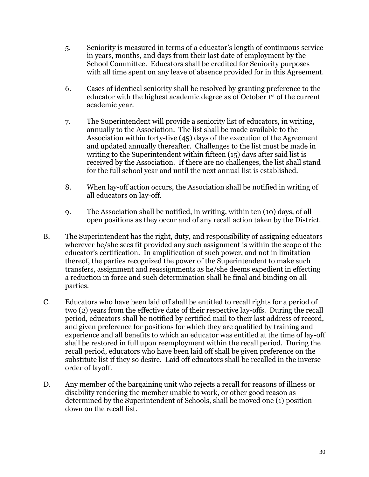- 5. Seniority is measured in terms of a educator's length of continuous service in years, months, and days from their last date of employment by the School Committee. Educators shall be credited for Seniority purposes with all time spent on any leave of absence provided for in this Agreement.
- 6. Cases of identical seniority shall be resolved by granting preference to the educator with the highest academic degree as of October 1st of the current academic year.
- 7. The Superintendent will provide a seniority list of educators, in writing, annually to the Association. The list shall be made available to the Association within forty-five (45) days of the execution of the Agreement and updated annually thereafter. Challenges to the list must be made in writing to the Superintendent within fifteen (15) days after said list is received by the Association. If there are no challenges, the list shall stand for the full school year and until the next annual list is established.
- 8. When lay-off action occurs, the Association shall be notified in writing of all educators on lay-off.
- 9. The Association shall be notified, in writing, within ten (10) days, of all open positions as they occur and of any recall action taken by the District.
- B. The Superintendent has the right, duty, and responsibility of assigning educators wherever he/she sees fit provided any such assignment is within the scope of the educator's certification. In amplification of such power, and not in limitation thereof, the parties recognized the power of the Superintendent to make such transfers, assignment and reassignments as he/she deems expedient in effecting a reduction in force and such determination shall be final and binding on all parties.
- C. Educators who have been laid off shall be entitled to recall rights for a period of two (2) years from the effective date of their respective lay-offs. During the recall period, educators shall be notified by certified mail to their last address of record, and given preference for positions for which they are qualified by training and experience and all benefits to which an educator was entitled at the time of lay-off shall be restored in full upon reemployment within the recall period. During the recall period, educators who have been laid off shall be given preference on the substitute list if they so desire. Laid off educators shall be recalled in the inverse order of layoff.
- D. Any member of the bargaining unit who rejects a recall for reasons of illness or disability rendering the member unable to work, or other good reason as determined by the Superintendent of Schools, shall be moved one (1) position down on the recall list.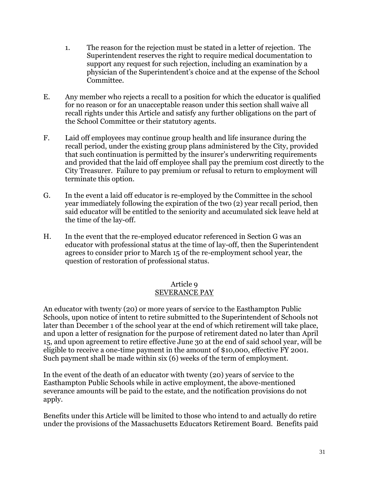- 1. The reason for the rejection must be stated in a letter of rejection. The Superintendent reserves the right to require medical documentation to support any request for such rejection, including an examination by a physician of the Superintendent's choice and at the expense of the School Committee.
- E. Any member who rejects a recall to a position for which the educator is qualified for no reason or for an unacceptable reason under this section shall waive all recall rights under this Article and satisfy any further obligations on the part of the School Committee or their statutory agents.
- F. Laid off employees may continue group health and life insurance during the recall period, under the existing group plans administered by the City, provided that such continuation is permitted by the insurer's underwriting requirements and provided that the laid off employee shall pay the premium cost directly to the City Treasurer. Failure to pay premium or refusal to return to employment will terminate this option.
- G. In the event a laid off educator is re-employed by the Committee in the school year immediately following the expiration of the two (2) year recall period, then said educator will be entitled to the seniority and accumulated sick leave held at the time of the lay-off.
- H. In the event that the re-employed educator referenced in Section G was an educator with professional status at the time of lay-off, then the Superintendent agrees to consider prior to March 15 of the re-employment school year, the question of restoration of professional status.

## Article 9

## SEVERANCE PAY

An educator with twenty (20) or more years of service to the Easthampton Public Schools, upon notice of intent to retire submitted to the Superintendent of Schools not later than December 1 of the school year at the end of which retirement will take place, and upon a letter of resignation for the purpose of retirement dated no later than April 15, and upon agreement to retire effective June 30 at the end of said school year, will be eligible to receive a one-time payment in the amount of \$10,000, effective FY 2001. Such payment shall be made within six (6) weeks of the term of employment.

In the event of the death of an educator with twenty (20) years of service to the Easthampton Public Schools while in active employment, the above-mentioned severance amounts will be paid to the estate, and the notification provisions do not apply.

Benefits under this Article will be limited to those who intend to and actually do retire under the provisions of the Massachusetts Educators Retirement Board. Benefits paid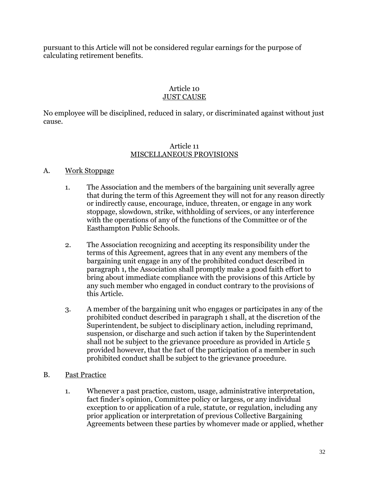pursuant to this Article will not be considered regular earnings for the purpose of calculating retirement benefits.

#### Article 10 JUST CAUSE

No employee will be disciplined, reduced in salary, or discriminated against without just cause.

#### Article 11 MISCELLANEOUS PROVISIONS

## A. Work Stoppage

- 1. The Association and the members of the bargaining unit severally agree that during the term of this Agreement they will not for any reason directly or indirectly cause, encourage, induce, threaten, or engage in any work stoppage, slowdown, strike, withholding of services, or any interference with the operations of any of the functions of the Committee or of the Easthampton Public Schools.
- 2. The Association recognizing and accepting its responsibility under the terms of this Agreement, agrees that in any event any members of the bargaining unit engage in any of the prohibited conduct described in paragraph 1, the Association shall promptly make a good faith effort to bring about immediate compliance with the provisions of this Article by any such member who engaged in conduct contrary to the provisions of this Article.
- 3. A member of the bargaining unit who engages or participates in any of the prohibited conduct described in paragraph 1 shall, at the discretion of the Superintendent, be subject to disciplinary action, including reprimand, suspension, or discharge and such action if taken by the Superintendent shall not be subject to the grievance procedure as provided in Article 5 provided however, that the fact of the participation of a member in such prohibited conduct shall be subject to the grievance procedure.
- B. Past Practice
	- 1. Whenever a past practice, custom, usage, administrative interpretation, fact finder's opinion, Committee policy or largess, or any individual exception to or application of a rule, statute, or regulation, including any prior application or interpretation of previous Collective Bargaining Agreements between these parties by whomever made or applied, whether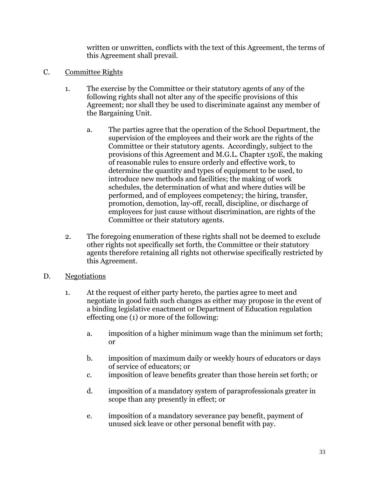written or unwritten, conflicts with the text of this Agreement, the terms of this Agreement shall prevail.

- C. Committee Rights
	- 1. The exercise by the Committee or their statutory agents of any of the following rights shall not alter any of the specific provisions of this Agreement; nor shall they be used to discriminate against any member of the Bargaining Unit.
		- a. The parties agree that the operation of the School Department, the supervision of the employees and their work are the rights of the Committee or their statutory agents. Accordingly, subject to the provisions of this Agreement and M.G.L. Chapter 150E, the making of reasonable rules to ensure orderly and effective work, to determine the quantity and types of equipment to be used, to introduce new methods and facilities; the making of work schedules, the determination of what and where duties will be performed, and of employees competency; the hiring, transfer, promotion, demotion, lay-off, recall, discipline, or discharge of employees for just cause without discrimination, are rights of the Committee or their statutory agents.
	- 2. The foregoing enumeration of these rights shall not be deemed to exclude other rights not specifically set forth, the Committee or their statutory agents therefore retaining all rights not otherwise specifically restricted by this Agreement.
- D. Negotiations
	- 1. At the request of either party hereto, the parties agree to meet and negotiate in good faith such changes as either may propose in the event of a binding legislative enactment or Department of Education regulation effecting one (1) or more of the following:
		- a. imposition of a higher minimum wage than the minimum set forth; or
		- b. imposition of maximum daily or weekly hours of educators or days of service of educators; or
		- c. imposition of leave benefits greater than those herein set forth; or
		- d. imposition of a mandatory system of paraprofessionals greater in scope than any presently in effect; or
		- e. imposition of a mandatory severance pay benefit, payment of unused sick leave or other personal benefit with pay.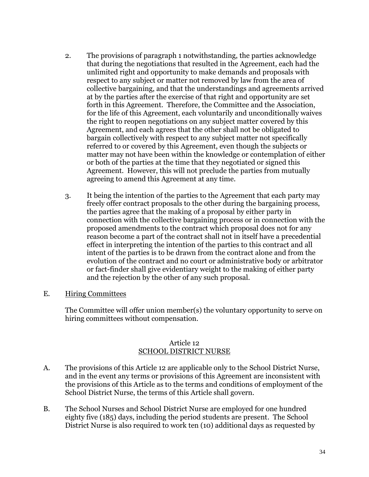- 2. The provisions of paragraph 1 notwithstanding, the parties acknowledge that during the negotiations that resulted in the Agreement, each had the unlimited right and opportunity to make demands and proposals with respect to any subject or matter not removed by law from the area of collective bargaining, and that the understandings and agreements arrived at by the parties after the exercise of that right and opportunity are set forth in this Agreement. Therefore, the Committee and the Association, for the life of this Agreement, each voluntarily and unconditionally waives the right to reopen negotiations on any subject matter covered by this Agreement, and each agrees that the other shall not be obligated to bargain collectively with respect to any subject matter not specifically referred to or covered by this Agreement, even though the subjects or matter may not have been within the knowledge or contemplation of either or both of the parties at the time that they negotiated or signed this Agreement. However, this will not preclude the parties from mutually agreeing to amend this Agreement at any time.
- 3. It being the intention of the parties to the Agreement that each party may freely offer contract proposals to the other during the bargaining process, the parties agree that the making of a proposal by either party in connection with the collective bargaining process or in connection with the proposed amendments to the contract which proposal does not for any reason become a part of the contract shall not in itself have a precedential effect in interpreting the intention of the parties to this contract and all intent of the parties is to be drawn from the contract alone and from the evolution of the contract and no court or administrative body or arbitrator or fact-finder shall give evidentiary weight to the making of either party and the rejection by the other of any such proposal.
- E. Hiring Committees

The Committee will offer union member(s) the voluntary opportunity to serve on hiring committees without compensation.

### Article 12 SCHOOL DISTRICT NURSE

- A. The provisions of this Article 12 are applicable only to the School District Nurse, and in the event any terms or provisions of this Agreement are inconsistent with the provisions of this Article as to the terms and conditions of employment of the School District Nurse, the terms of this Article shall govern.
- B. The School Nurses and School District Nurse are employed for one hundred eighty five (185) days, including the period students are present. The School District Nurse is also required to work ten (10) additional days as requested by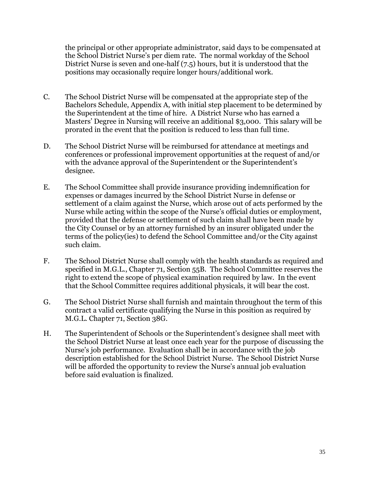the principal or other appropriate administrator, said days to be compensated at the School District Nurse's per diem rate. The normal workday of the School District Nurse is seven and one-half (7.5) hours, but it is understood that the positions may occasionally require longer hours/additional work.

- C. The School District Nurse will be compensated at the appropriate step of the Bachelors Schedule, Appendix A, with initial step placement to be determined by the Superintendent at the time of hire. A District Nurse who has earned a Masters' Degree in Nursing will receive an additional \$3,000. This salary will be prorated in the event that the position is reduced to less than full time.
- D. The School District Nurse will be reimbursed for attendance at meetings and conferences or professional improvement opportunities at the request of and/or with the advance approval of the Superintendent or the Superintendent's designee.
- E. The School Committee shall provide insurance providing indemnification for expenses or damages incurred by the School District Nurse in defense or settlement of a claim against the Nurse, which arose out of acts performed by the Nurse while acting within the scope of the Nurse's official duties or employment, provided that the defense or settlement of such claim shall have been made by the City Counsel or by an attorney furnished by an insurer obligated under the terms of the policy(ies) to defend the School Committee and/or the City against such claim.
- F. The School District Nurse shall comply with the health standards as required and specified in M.G.L., Chapter 71, Section 55B. The School Committee reserves the right to extend the scope of physical examination required by law. In the event that the School Committee requires additional physicals, it will bear the cost.
- G. The School District Nurse shall furnish and maintain throughout the term of this contract a valid certificate qualifying the Nurse in this position as required by M.G.L. Chapter 71, Section 38G.
- H. The Superintendent of Schools or the Superintendent's designee shall meet with the School District Nurse at least once each year for the purpose of discussing the Nurse's job performance. Evaluation shall be in accordance with the job description established for the School District Nurse. The School District Nurse will be afforded the opportunity to review the Nurse's annual job evaluation before said evaluation is finalized.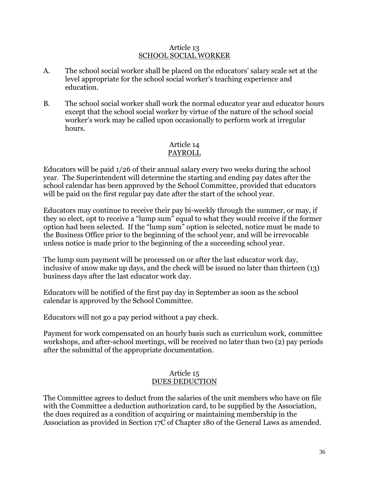### Article 13 SCHOOL SOCIAL WORKER

- A. The school social worker shall be placed on the educators' salary scale set at the level appropriate for the school social worker's teaching experience and education.
- B. The school social worker shall work the normal educator year and educator hours except that the school social worker by virtue of the nature of the school social worker's work may be called upon occasionally to perform work at irregular hours.

### Article 14 PAYROLL

Educators will be paid 1/26 of their annual salary every two weeks during the school year. The Superintendent will determine the starting and ending pay dates after the school calendar has been approved by the School Committee, provided that educators will be paid on the first regular pay date after the start of the school year.

Educators may continue to receive their pay bi-weekly through the summer, or may, if they so elect, opt to receive a "lump sum" equal to what they would receive if the former option had been selected. If the "lump sum" option is selected, notice must be made to the Business Office prior to the beginning of the school year, and will be irrevocable unless notice is made prior to the beginning of the a succeeding school year.

The lump sum payment will be processed on or after the last educator work day, inclusive of snow make up days, and the check will be issued no later than thirteen (13) business days after the last educator work day.

Educators will be notified of the first pay day in September as soon as the school calendar is approved by the School Committee.

Educators will not go a pay period without a pay check.

Payment for work compensated on an hourly basis such as curriculum work, committee workshops, and after-school meetings, will be received no later than two (2) pay periods after the submittal of the appropriate documentation.

### Article 15 DUES DEDUCTION

The Committee agrees to deduct from the salaries of the unit members who have on file with the Committee a deduction authorization card, to be supplied by the Association, the dues required as a condition of acquiring or maintaining membership in the Association as provided in Section 17C of Chapter 180 of the General Laws as amended.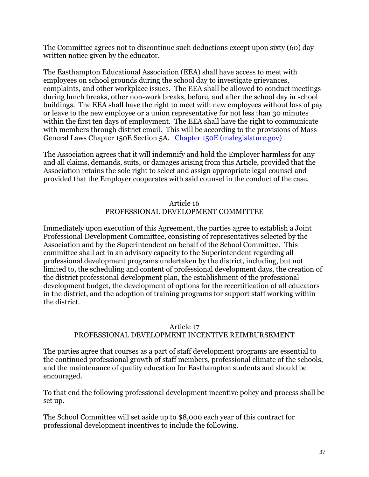The Committee agrees not to discontinue such deductions except upon sixty (60) day written notice given by the educator.

The Easthampton Educational Association (EEA) shall have access to meet with employees on school grounds during the school day to investigate grievances, complaints, and other workplace issues. The EEA shall be allowed to conduct meetings during lunch breaks, other non-work breaks, before, and after the school day in school buildings. The EEA shall have the right to meet with new employees without loss of pay or leave to the new employee or a union representative for not less than 30 minutes within the first ten days of employment. The EEA shall have the right to communicate with members through district email. This will be according to the provisions of Mass General Laws Chapter 150E Section 5A. [Chapter 150E \(malegislature.gov\)](https://malegislature.gov/laws/generallaws/parti/titlexxi/chapter150e) 

The Association agrees that it will indemnify and hold the Employer harmless for any and all claims, demands, suits, or damages arising from this Article, provided that the Association retains the sole right to select and assign appropriate legal counsel and provided that the Employer cooperates with said counsel in the conduct of the case.

## Article 16 PROFESSIONAL DEVELOPMENT COMMITTEE

Immediately upon execution of this Agreement, the parties agree to establish a Joint Professional Development Committee, consisting of representatives selected by the Association and by the Superintendent on behalf of the School Committee. This committee shall act in an advisory capacity to the Superintendent regarding all professional development programs undertaken by the district, including, but not limited to, the scheduling and content of professional development days, the creation of the district professional development plan, the establishment of the professional development budget, the development of options for the recertification of all educators in the district, and the adoption of training programs for support staff working within the district.

### Article 17 PROFESSIONAL DEVELOPMENT INCENTIVE REIMBURSEMENT

The parties agree that courses as a part of staff development programs are essential to the continued professional growth of staff members, professional climate of the schools, and the maintenance of quality education for Easthampton students and should be encouraged.

To that end the following professional development incentive policy and process shall be set up.

The School Committee will set aside up to \$8,000 each year of this contract for professional development incentives to include the following.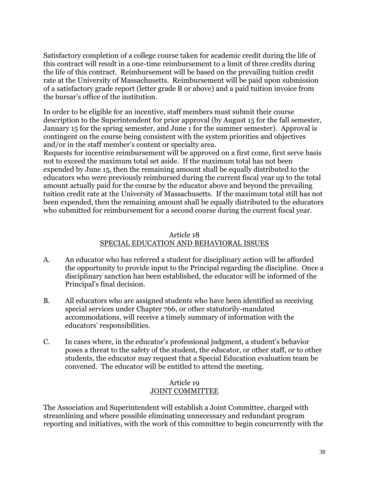Satisfactory completion of a college course taken for academic credit during the life of this contract will result in a one-time reimbursement to a limit of three credits during the life of this contract. Reimbursement will be based on the prevailing tuition credit rate at the University of Massachusetts. Reimbursement will be paid upon submission of a satisfactory grade report (letter grade B or above) and a paid tuition invoice from the bursar's office of the institution.

In order to be eligible for an incentive, staff members must submit their course description to the Superintendent for prior approval (by August 15 for the fall semester, January 15 for the spring semester, and June 1 for the summer semester). Approval is contingent on the course being consistent with the system priorities and objectives and/or in the staff member's content or specialty area.

Requests for incentive reimbursement will be approved on a first come, first serve basis not to exceed the maximum total set aside. If the maximum total has not been expended by June 15, then the remaining amount shall be equally distributed to the educators who were previously reimbursed during the current fiscal year up to the total amount actually paid for the course by the educator above and beyond the prevailing tuition credit rate at the University of Massachusetts. If the maximum total still has not been expended, then the remaining amount shall be equally distributed to the educators who submitted for reimbursement for a second course during the current fiscal year.

### Article 18 SPECIAL EDUCATION AND BEHAVIORAL ISSUES

- A. An educator who has referred a student for disciplinary action will be afforded the opportunity to provide input to the Principal regarding the discipline. Once a disciplinary sanction has been established, the educator will be informed of the Principal's final decision.
- B. All educators who are assigned students who have been identified as receiving special services under Chapter 766, or other statutorily-mandated accommodations, will receive a timely summary of information with the educators' responsibilities.
- C. In cases where, in the educator's professional judgment, a student's behavior poses a threat to the safety of the student, the educator, or other staff, or to other students, the educator may request that a Special Education evaluation team be convened. The educator will be entitled to attend the meeting.

### Article 19 JOINT COMMITTEE

The Association and Superintendent will establish a Joint Committee, charged with streamlining and where possible eliminating unnecessary and redundant program reporting and initiatives, with the work of this committee to begin concurrently with the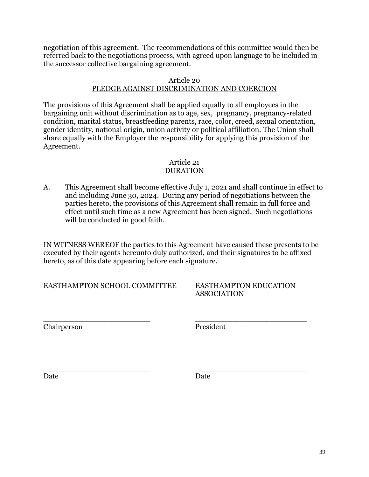negotiation of this agreement. The recommendations of this committee would then be referred back to the negotiations process, with agreed upon language to be included in the successor collective bargaining agreement.

#### Article 20

### PLEDGE AGAINST DISCRIMINATION AND COERCION

The provisions of this Agreement shall be applied equally to all employees in the bargaining unit without discrimination as to age, sex, pregnancy, pregnancy-related condition, marital status, breastfeeding parents, race, color, creed, sexual orientation, gender identity, national origin, union activity or political affiliation. The Union shall share equally with the Employer the responsibility for applying this provision of the Agreement.

#### Article 21 DURATION

A. This Agreement shall become effective July 1, 2021 and shall continue in effect to and including June 30, 2024. During any period of negotiations between the parties hereto, the provisions of this Agreement shall remain in full force and effect until such time as a new Agreement has been signed. Such negotiations will be conducted in good faith.

IN WITNESS WEREOF the parties to this Agreement have caused these presents to be executed by their agents hereunto duly authorized, and their signatures to be affixed hereto, as of this date appearing before each signature.

EASTHAMPTON SCHOOL COMMITTEE EASTHAMPTON EDUCATION

ASSOCIATION

Chairperson President

\_\_\_\_\_\_\_\_\_\_\_\_\_\_\_\_\_\_\_\_\_\_\_ \_\_\_\_\_\_\_\_\_\_\_\_\_\_\_\_\_\_\_\_\_\_\_\_

\_\_\_\_\_\_\_\_\_\_\_\_\_\_\_\_\_\_\_\_\_\_\_ \_\_\_\_\_\_\_\_\_\_\_\_\_\_\_\_\_\_\_\_\_\_\_\_ Date **Date** Date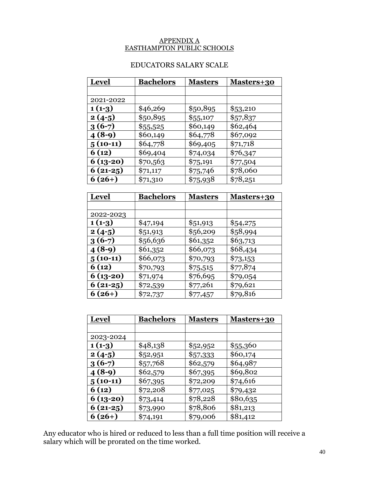#### APPENDIX A EASTHAMPTON PUBLIC SCHOOLS

# EDUCATORS SALARY SCALE

| <b>Level</b> | <b>Bachelors</b> | <b>Masters</b> | <u>Masters+30</u> |
|--------------|------------------|----------------|-------------------|
|              |                  |                |                   |
| 2021-2022    |                  |                |                   |
| $1(1-3)$     | \$46,269         | \$50,895       | \$53,210          |
| $2(4-5)$     | \$50,895         | \$55,107       | \$57,837          |
| $3(6-7)$     | \$55,525         | \$60,149       | \$62,464          |
| $4(8-9)$     | \$60,149         | \$64,778       | \$67,092          |
| $5(10-11)$   | \$64,778         | \$69,405       | \$71,718          |
| 6(12)        | \$69,404         | \$74,034       | \$76,347          |
| $6(13-20)$   | \$70,563         | \$75,191       | \$77,504          |
| $6(21-25)$   | \$71,117         | \$75,746       | \$78,060          |
| $6(26+)$     | \$71,310         | \$75,938       | \$78,251          |

| <b>Level</b> | <u>Bachelors</u> | <u>Masters</u> | <u> Masters+30</u> |
|--------------|------------------|----------------|--------------------|
|              |                  |                |                    |
| 2022-2023    |                  |                |                    |
| $1(1-3)$     | \$47,194         | \$51,913       | \$54,275           |
| $2(4-5)$     | \$51,913         | \$56,209       | \$58,994           |
| $3(6-7)$     | \$56,636         | \$61,352       | \$63,713           |
| $4(8-9)$     | \$61,352         | \$66,073       | \$68,434           |
| $5(10-11)$   | \$66,073         | \$70,793       | \$73,153           |
| 6(12)        | \$70,793         | \$75,515       | \$77,874           |
| 6 (13-20)    | \$71,974         | \$76,695       | \$79,054           |
| $6(21-25)$   | \$72,539         | \$77,261       | \$79,621           |
| $6(26+)$     | \$72,737         | \$77,457       | \$79,816           |

| <b>Level</b> | <u>Bachelors</u> | <b>Masters</b> | <u> Masters+30</u> |
|--------------|------------------|----------------|--------------------|
|              |                  |                |                    |
| 2023-2024    |                  |                |                    |
| $1(1-3)$     | \$48,138         | \$52,952       | \$55,360           |
| $2(4-5)$     | \$52,951         | \$57,333       | \$60,174           |
| $3(6-7)$     | \$57,768         | \$62,579       | \$64,987           |
| $4(8-9)$     | \$62,579         | \$67,395       | \$69,802           |
| $5(10-11)$   | \$67,395         | \$72,209       | \$74,616           |
| 6(12)        | \$72,208         | \$77,025       | \$79,432           |
| $6(13-20)$   | \$73,414         | \$78,228       | \$80,635           |
| $6(21-25)$   | \$73,990         | \$78,806       | \$81,213           |
| $6(26+)$     | \$74,191         | \$79,006       | \$81,412           |

Any educator who is hired or reduced to less than a full time position will receive a salary which will be prorated on the time worked.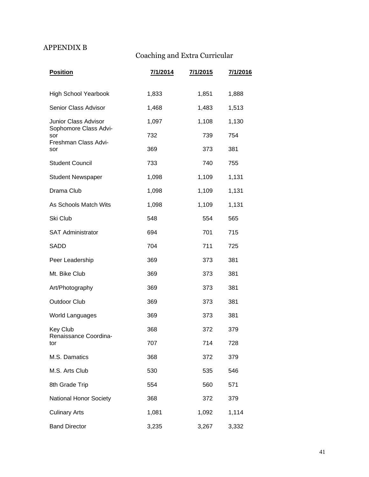# APPENDIX B

# Coaching and Extra Curricular

| <b>Position</b>               | 7/1/2014 | 7/1/2015 | 7/1/2016 |
|-------------------------------|----------|----------|----------|
| <b>High School Yearbook</b>   | 1,833    | 1,851    | 1,888    |
| Senior Class Advisor          | 1,468    | 1,483    | 1,513    |
| Junior Class Advisor          | 1,097    | 1,108    | 1,130    |
| Sophomore Class Advi-<br>sor  | 732      | 739      | 754      |
| Freshman Class Advi-<br>sor   | 369      | 373      | 381      |
| <b>Student Council</b>        | 733      | 740      | 755      |
| <b>Student Newspaper</b>      | 1,098    | 1,109    | 1,131    |
| Drama Club                    | 1,098    | 1,109    | 1,131    |
| As Schools Match Wits         | 1,098    | 1,109    | 1,131    |
| Ski Club                      | 548      | 554      | 565      |
| <b>SAT Administrator</b>      | 694      | 701      | 715      |
| SADD                          | 704      | 711      | 725      |
| Peer Leadership               | 369      | 373      | 381      |
| Mt. Bike Club                 | 369      | 373      | 381      |
| Art/Photography               | 369      | 373      | 381      |
| <b>Outdoor Club</b>           | 369      | 373      | 381      |
| <b>World Languages</b>        | 369      | 373      | 381      |
| Key Club                      | 368      | 372      | 379      |
| Renaissance Coordina<br>tor   | 707      | 714      | 728      |
| M.S. Damatics                 | 368      | 372      | 379      |
| M.S. Arts Club                | 530      | 535      | 546      |
| 8th Grade Trip                | 554      | 560      | 571      |
| <b>National Honor Society</b> | 368      | 372      | 379      |
| <b>Culinary Arts</b>          | 1,081    | 1,092    | 1,114    |
| <b>Band Director</b>          | 3,235    | 3,267    | 3,332    |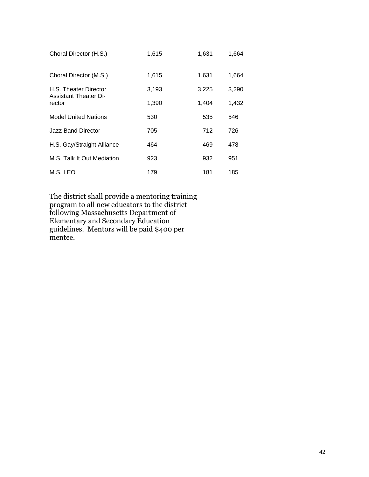| Choral Director (H.S.)                 | 1,615 | 1,631 | 1,664 |
|----------------------------------------|-------|-------|-------|
| Choral Director (M.S.)                 | 1,615 | 1,631 | 1,664 |
| H.S. Theater Director                  | 3,193 | 3,225 | 3,290 |
| <b>Assistant Theater Di-</b><br>rector | 1,390 | 1.404 | 1,432 |
| <b>Model United Nations</b>            | 530   | 535   | 546   |
| Jazz Band Director                     | 705   | 712   | 726   |
| H.S. Gay/Straight Alliance             | 464   | 469   | 478   |
| M.S. Talk It Out Mediation             | 923   | 932   | 951   |
| M.S. LEO                               | 179   | 181   | 185   |

The district shall provide a mentoring training program to all new educators to the district following Massachusetts Department of Elementary and Secondary Education guidelines. Mentors will be paid \$400 per mentee.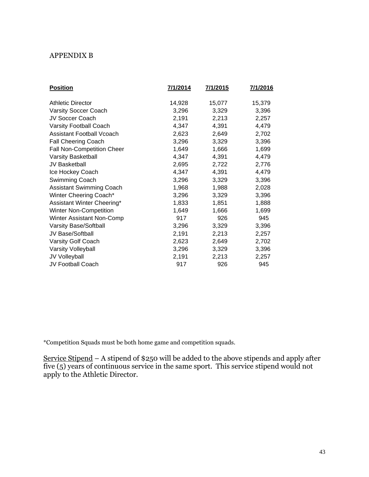### APPENDIX B

| <b>Position</b>                   | 7/1/2014 | 7/1/2015 | 7/1/2016 |
|-----------------------------------|----------|----------|----------|
|                                   |          |          |          |
| <b>Athletic Director</b>          | 14,928   | 15,077   | 15,379   |
| <b>Varsity Soccer Coach</b>       | 3,296    | 3,329    | 3,396    |
| JV Soccer Coach                   | 2,191    | 2,213    | 2,257    |
| Varsity Football Coach            | 4,347    | 4,391    | 4,479    |
| Assistant Football Vcoach         | 2,623    | 2,649    | 2,702    |
| <b>Fall Cheering Coach</b>        | 3,296    | 3,329    | 3,396    |
| <b>Fall Non-Competition Cheer</b> | 1,649    | 1,666    | 1,699    |
| Varsity Basketball                | 4,347    | 4,391    | 4,479    |
| JV Basketball                     | 2,695    | 2,722    | 2,776    |
| Ice Hockey Coach                  | 4,347    | 4,391    | 4,479    |
| Swimming Coach                    | 3,296    | 3,329    | 3,396    |
| <b>Assistant Swimming Coach</b>   | 1,968    | 1,988    | 2,028    |
| Winter Cheering Coach*            | 3,296    | 3,329    | 3,396    |
| Assistant Winter Cheering*        | 1,833    | 1,851    | 1,888    |
| Winter Non-Competition            | 1,649    | 1,666    | 1,699    |
| Winter Assistant Non-Comp         | 917      | 926      | 945      |
| <b>Varsity Base/Softball</b>      | 3,296    | 3,329    | 3,396    |
| JV Base/Softball                  | 2,191    | 2,213    | 2,257    |
| Varsity Golf Coach                | 2,623    | 2,649    | 2,702    |
| <b>Varsity Volleyball</b>         | 3,296    | 3,329    | 3,396    |
| JV Volleyball                     | 2,191    | 2,213    | 2,257    |
| <b>JV Football Coach</b>          | 917      | 926      | 945      |
|                                   |          |          |          |

\*Competition Squads must be both home game and competition squads.

Service Stipend – A stipend of \$250 will be added to the above stipends and apply after five (5) years of continuous service in the same sport. This service stipend would not apply to the Athletic Director.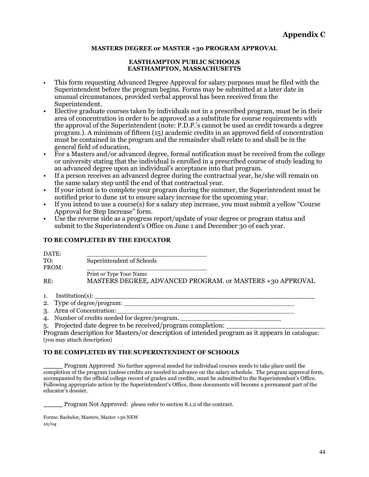#### **MASTERS DEGREE or MASTER +30 PROGRAM APPROVAL**

#### **EASTHAMPTON PUBLIC SCHOOLS EASTHAMPTON, MASSACHUSETTS**

- This form requesting Advanced Degree Approval for salary purposes must be filed with the Superintendent before the program begins. Forms may be submitted at a later date in unusual circumstances, provided verbal approval has been received from the Superintendent.
- Elective graduate courses taken by individuals not in a prescribed program, must be in their area of concentration in order to be approved as a substitute for course requirements with the approval of the Superintendent (note: P.D.P.'s cannot be used as credit towards a degree program.). A minimum of fifteen (15) academic credits in an approved field of concentration must be contained in the program and the remainder shall relate to and shall be in the general field of education,
- For a Masters and/or advanced degree, formal notification must be received from the college or university stating that the individual is enrolled in a prescribed course of study leading to an advanced degree upon an individual's acceptance into that program.
- If a person receives an advanced degree during the contractual year, he/she will remain on the same salary step until the end of that contractual year.
- If your intent is to complete your program during the summer, the Superintendent must be notified prior to dune 1st to ensure salary increase for the upcoming year.
- If you intend to use a course(s) for a salary step increase, you must submit a yellow "Course Approval for Step Increase" form.
- Use the reverse side as a progress report/update of your degree or program status and submit to the Superintendent's Office on June 1 and December 30 of each year.

#### **TO BE COMPLETED BY THE EDUCATOR**

| Superintendent of Schools                                 |
|-----------------------------------------------------------|
|                                                           |
| Print or Type Your Name                                   |
| MASTERS DEGREE, ADVANCED PROGRAM. or MASTERS +30 APPROVAL |
|                                                           |

- 1. Institution(s): **\_\_\_\_\_\_\_\_\_\_\_\_\_\_\_\_\_\_\_\_\_\_\_\_\_\_\_\_\_\_\_\_\_\_\_\_\_\_\_\_\_\_\_\_\_\_\_\_\_\_\_\_**
- 2. Type of degree/program:
- 3. Area of Concentration:
- 4. Number of credits needed for degree/program.
- 5. Projected date degree to be received/program completion: \_\_\_\_\_\_\_\_\_\_\_\_\_\_\_\_\_\_\_\_\_\_\_

Program description for Masters/or description of intended program as it appears in catalogue: (you may attach description)

#### **TO BE COMPLETED BY THE SUPERINTENDENT OF SCHOOLS**

\_\_\_\_\_ Program Approved No further approval needed for individual courses needs to take place until the completion of the program (unless credits are needed to advance on the salary schedule. The program approval form, accompanied by the official college record of grades and credits, must be submitted to the Superintendent's Office. Following appropriate action by the Superintendent's Office, these documents will become a permanent part of the educator's dossier.

Program Not Approved: please refer to section 8.1.2 of the contract.

Forms: Bachelor, Masters, Master +30 NEW *10/04*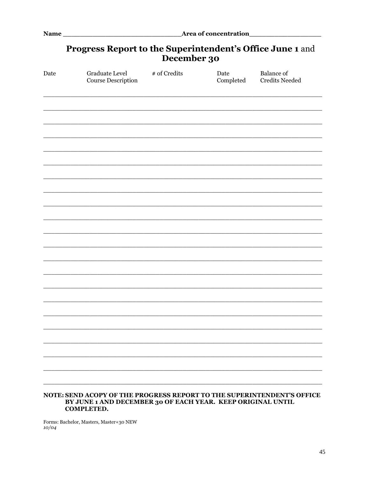# Progress Report to the Superintendent's Office June 1 and December 30

| Date | Graduate Level<br>Course Description                                                                                                                       | # of Credits | Date<br>Completed | <b>Balance</b> of<br><b>Credits Needed</b> |
|------|------------------------------------------------------------------------------------------------------------------------------------------------------------|--------------|-------------------|--------------------------------------------|
|      |                                                                                                                                                            |              |                   |                                            |
|      |                                                                                                                                                            |              |                   |                                            |
|      |                                                                                                                                                            |              |                   |                                            |
|      |                                                                                                                                                            |              |                   |                                            |
|      |                                                                                                                                                            |              |                   |                                            |
|      |                                                                                                                                                            |              |                   |                                            |
|      |                                                                                                                                                            |              |                   |                                            |
|      |                                                                                                                                                            |              |                   |                                            |
|      |                                                                                                                                                            |              |                   |                                            |
|      |                                                                                                                                                            |              |                   |                                            |
|      |                                                                                                                                                            |              |                   |                                            |
|      |                                                                                                                                                            |              |                   |                                            |
|      |                                                                                                                                                            |              |                   |                                            |
|      |                                                                                                                                                            |              |                   |                                            |
|      |                                                                                                                                                            |              |                   |                                            |
|      |                                                                                                                                                            |              |                   |                                            |
|      |                                                                                                                                                            |              |                   |                                            |
|      |                                                                                                                                                            |              |                   |                                            |
|      |                                                                                                                                                            |              |                   |                                            |
|      |                                                                                                                                                            |              |                   |                                            |
|      |                                                                                                                                                            |              |                   |                                            |
|      | NOTE: SEND ACOPY OF THE PROGRESS REPORT TO THE SUPERINTENDENT'S OFFICE<br>BY JUNE 1 AND DECEMBER 30 OF EACH YEAR. KEEP ORIGINAL UNTIL<br><b>COMPLETED.</b> |              |                   |                                            |

Forms: Bachelor, Masters, Master+30 NEW  $10/04$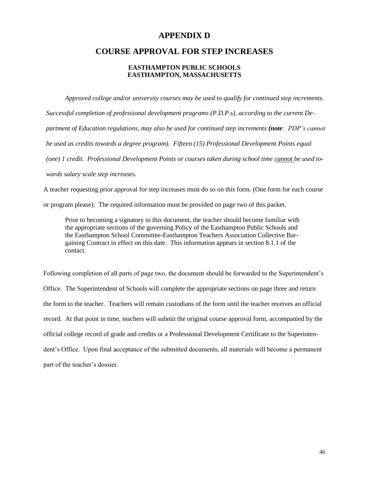### **APPENDIX D**

### **COURSE APPROVAL FOR STEP INCREASES**

#### **EASTHAMPTON PUBLIC SCHOOLS EASTHAMPTON, MASSACHUSETTS**

*Approved college and/or university courses may be used to qualify for continued step increments. Successful completion of professional development programs (P.D.P.s), according to the current Department of Education regulations, may also be used for continued step increments (note: PDP's cannot be used as credits towards a degree program). Fifteen (15) Professional Development Points equal (one) 1 credit. Professional Development Points or courses taken during school time cannot be used towards salary scale step increases.*

A teacher requesting prior approval for step increases must do so on this form. (One form for each course or program please). The required information must be provided on page two of this packet.

Prior to becoming a signatory to this document, the teacher should become familiar with the appropriate sections of the governing Policy of the Easthampton Public Schools and the Easthampton School Committee-Easthampton Teachers Association Collective Bargaining Contract in effect on this date. This information appears in section 8.1.1 of the contact.

Following completion of all parts of page two, the document should be forwarded to the Superintendent's Office. The Superintendent of Schools will complete the appropriate sections on page three and return the form to the teacher. Teachers will remain custodians of the form until the teacher receives an official record. At that point in time, teachers will submit the original course approval form, accompanied by the official college record of grade and credits or a Professional Development Certificate to the Superintendent's Office. Upon final acceptance of the submitted documents, all materials will become a permanent part of the teacher's dossier.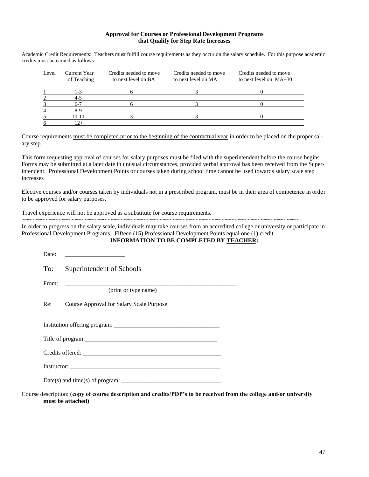#### **Approval for Courses or Professional Development Programs that Qualify for Step Rate Increases**

Academic Credit Requirements: Teachers must fulfill course requirements as they occur on the salary schedule. For this purpose academic credits must be earned as follows:

| Level | Current Year<br>of Teaching | Credits needed to move<br>to next level on BA | Credits needed to move<br>to next level on MA | Credits needed to move<br>to next level on $MA+30$ |
|-------|-----------------------------|-----------------------------------------------|-----------------------------------------------|----------------------------------------------------|
|       | $1 - 3$                     |                                               |                                               |                                                    |
|       | 4-5                         |                                               |                                               |                                                    |
|       | $6-7$                       |                                               |                                               |                                                    |
|       | 8-9                         |                                               |                                               |                                                    |
|       | $10 - 11$                   |                                               |                                               |                                                    |
|       | $2+$                        |                                               |                                               |                                                    |

Course requirements must be completed prior to the beginning of the contractual year in order to be placed on the proper salary step.

This form requesting approval of courses for salary purposes must be filed with the superintendent before the course begins. Forms may be submitted at a later date in unusual circumstances, provided verbal approval has been received from the Superintendent. Professional Development Points or courses taken during school time cannot be used towards salary scale step increases

Elective courses and/or courses taken by individuals not in a prescribed program, must be in their area of competence in order to be approved for salary purposes.

Travel experience will not be approved as a substitute for course requirements.

~~~~~~~~~~~~~~~~~~~~~~~~~~~~~~~~~~~~~~~~~~~~~~~~~~~~~~~~~~~~~~~~~~~~~~~~~~~~~~~~~~~~~

In order to progress on the salary scale, individuals may take courses from an accredited college or university or participate in Professional Development Programs. Fifteen (15) Professional Development Points equal one (1) credit.

#### **INFORMATION TO BE COMPLETED BY TEACHER:**

Course description: (**copy of course description and credits/PDP's to be received from the college and/or university must be attached)**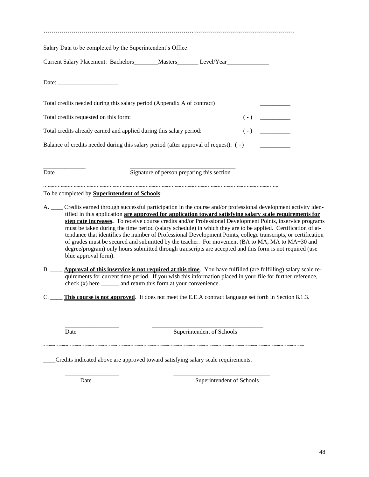| Salary Data to be completed by the Superintendent's Office:                                                          |                                                                                                                                                                                                                                                                                                                                      |  |                                            |  |
|----------------------------------------------------------------------------------------------------------------------|--------------------------------------------------------------------------------------------------------------------------------------------------------------------------------------------------------------------------------------------------------------------------------------------------------------------------------------|--|--------------------------------------------|--|
| Current Salary Placement: Bachelors________Masters________Level/Year_____________                                    |                                                                                                                                                                                                                                                                                                                                      |  |                                            |  |
|                                                                                                                      |                                                                                                                                                                                                                                                                                                                                      |  |                                            |  |
| Total credits needed during this salary period (Appendix A of contract)                                              |                                                                                                                                                                                                                                                                                                                                      |  |                                            |  |
| Total credits requested on this form:                                                                                |                                                                                                                                                                                                                                                                                                                                      |  | $(\hbox{-})\quad \underline{\hspace{2cm}}$ |  |
| Total credits already earned and applied during this salary period:                                                  |                                                                                                                                                                                                                                                                                                                                      |  | $\overline{(-)}$                           |  |
|                                                                                                                      |                                                                                                                                                                                                                                                                                                                                      |  |                                            |  |
| Date                                                                                                                 | Signature of person preparing this section                                                                                                                                                                                                                                                                                           |  |                                            |  |
| To be completed by <b>Superintendent of Schools</b> :                                                                |                                                                                                                                                                                                                                                                                                                                      |  |                                            |  |
| A. ____ Credits earned through successful participation in the course and/or professional development activity iden- | tified in this application are approved for application toward satisfying salary scale requirements for<br>step rate increases. To receive course credits and/or Professional Development Points, inservice programs<br>must be taken during the time period (salary schedule) in which they are to be applied. Certification of at- |  |                                            |  |

ce programs must be taken during the time period (salary schedule) in which they are to be applied. Certification of attendance that identifies the number of Professional Development Points, college transcripts, or certification of grades must be secured and submitted by the teacher. For movement (BA to MA, MA to MA+30 and degree/program) only hours submitted through transcripts are accepted and this form is not required (use blue approval form).

- B. \_\_\_\_ **Approval of this inservice is not required at this time**. You have fulfilled (are fulfilling) salary scale requirements for current time period. If you wish this information placed in your file for further reference,  $\text{check (x)}$  here \_\_\_\_\_\_\_\_ and return this form at your convenience.
- C. \_\_\_\_ **This course is not approved**. It does not meet the E.E.A contract language set forth in Section 8.1.3.

~~~~~~~~~~~~~~~~~~~~~~~~~~~~~~~~~~~~~~~~~~~~~~~~~~~~~~~~~~~~~~~~~~~~~~~~~~~~~~~~

\_\_\_\_\_\_\_\_\_\_\_\_\_\_\_\_\_\_ \_\_\_\_\_\_\_\_\_\_\_\_\_\_\_\_\_\_\_\_\_\_\_\_\_\_\_\_\_\_\_\_\_\_\_\_\_

Date Superintendent of Schools

\_\_\_\_Credits indicated above are approved toward satisfying salary scale requirements.

\_\_\_\_\_\_\_\_\_\_\_\_\_\_\_\_\_\_ \_\_\_\_\_\_\_\_\_\_\_\_\_\_\_\_\_\_\_\_\_\_\_\_\_\_\_\_\_\_\_\_ Date Superintendent of Schools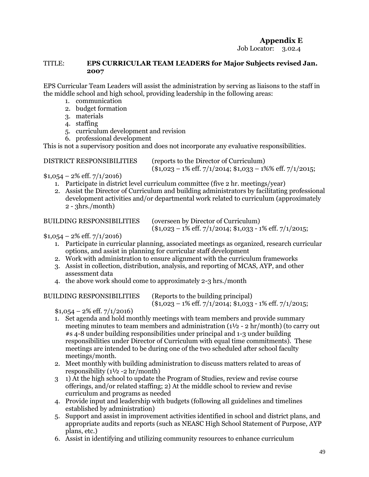## **Appendix E**

Job Locator: 3.02.4

#### TITLE: **EPS CURRICULAR TEAM LEADERS for Major Subjects revised Jan. 2007**

EPS Curricular Team Leaders will assist the administration by serving as liaisons to the staff in the middle school and high school, providing leadership in the following areas:

- 1. communication
- 2. budget formation
- 3. materials
- 4. staffing
- 5. curriculum development and revision
- 6. professional development

This is not a supervisory position and does not incorporate any evaluative responsibilities.

DISTRICT RESPONSIBILITIES (reports to the Director of Curriculum)

 $($1,023 - 1\% \text{ eff}, 7/1/2014; $1,033 - 1\% \text{ eff}, 7/1/2015;$ 

 $$1,054 - 2\%$  eff.  $7/1/2016$ 

- 1. Participate in district level curriculum committee (five 2 hr. meetings/year)
- 2. Assist the Director of Curriculum and building administrators by facilitating professional development activities and/or departmental work related to curriculum (approximately  $2 - 3$ hrs./month)

#### BUILDING RESPONSIBILITIES (overseen by Director of Curriculum)

 $($1,023 - 1\% \text{ eff}, 7/1/2014; $1,033 - 1\% \text{ eff}, 7/1/2015;$ 

### $$1,054 - 2\%$  eff.  $7/1/2016$

- 1. Participate in curricular planning, associated meetings as organized, research curricular options, and assist in planning for curricular staff development
- 2. Work with administration to ensure alignment with the curriculum frameworks
- 3. Assist in collection, distribution, analysis, and reporting of MCAS, AYP, and other assessment data
- 4. the above work should come to approximately 2-3 hrs./month

BUILDING RESPONSIBILITIES (Reports to the building principal)

 $($1,023 - 1\% \text{ eff}, 7/1/2014; $1,033 - 1\% \text{ eff}, 7/1/2015;$ 

 $$1,054 - 2\% \text{ eff.} \frac{7}{1/2016}$ 

- 1. Set agenda and hold monthly meetings with team members and provide summary meeting minutes to team members and administration  $(1\frac{1}{2} - 2 \ln \theta)$  (to carry out #s 4-8 under building responsibilities under principal and 1-3 under building responsibilities under Director of Curriculum with equal time commitments). These meetings are intended to be during one of the two scheduled after school faculty meetings/month.
- 2. Meet monthly with building administration to discuss matters related to areas of responsibility (1½ -2 hr/month)
- 3 1) At the high school to update the Program of Studies, review and revise course offerings, and/or related staffing; 2) At the middle school to review and revise curriculum and programs as needed
- 4. Provide input and leadership with budgets (following all guidelines and timelines established by administration)
- 5. Support and assist in improvement activities identified in school and district plans, and appropriate audits and reports (such as NEASC High School Statement of Purpose, AYP plans, etc.)
- 6. Assist in identifying and utilizing community resources to enhance curriculum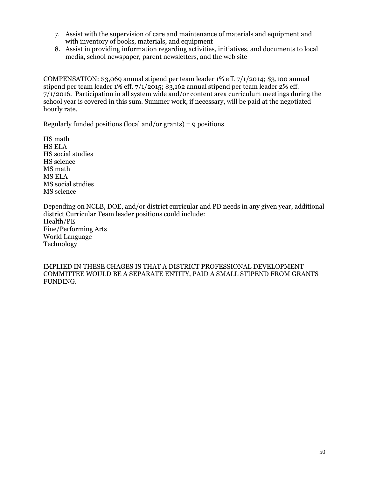- 7. Assist with the supervision of care and maintenance of materials and equipment and with inventory of books, materials, and equipment
- 8. Assist in providing information regarding activities, initiatives, and documents to local media, school newspaper, parent newsletters, and the web site

COMPENSATION: \$3,069 annual stipend per team leader 1% eff. 7/1/2014; \$3,100 annual stipend per team leader 1% eff.  $7/1/2015$ ; \$3,162 annual stipend per team leader 2% eff. 7/1/2016. Participation in all system wide and/or content area curriculum meetings during the school year is covered in this sum. Summer work, if necessary, will be paid at the negotiated hourly rate.

Regularly funded positions (local and/or grants) = 9 positions

HS math HS ELA HS social studies HS science MS math MS ELA MS social studies MS science

Depending on NCLB, DOE, and/or district curricular and PD needs in any given year, additional district Curricular Team leader positions could include: Health/PE Fine/Performing Arts World Language Technology

IMPLIED IN THESE CHAGES IS THAT A DISTRICT PROFESSIONAL DEVELOPMENT COMMITTEE WOULD BE A SEPARATE ENTITY, PAID A SMALL STIPEND FROM GRANTS FUNDING.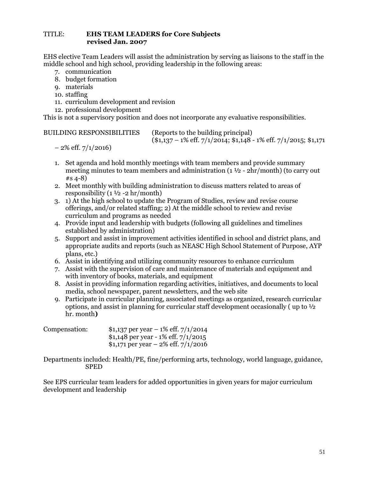#### TITLE: **EHS TEAM LEADERS for Core Subjects revised Jan. 2007**

EHS elective Team Leaders will assist the administration by serving as liaisons to the staff in the middle school and high school, providing leadership in the following areas:

- 7. communication
- 8. budget formation
- 9. materials
- 10. staffing
- 11. curriculum development and revision
- 12. professional development

This is not a supervisory position and does not incorporate any evaluative responsibilities.

| <b>BUILDING RESPONSIBILITIES</b> |  |
|----------------------------------|--|
|----------------------------------|--|

(Reports to the building principal)  $($1,137 - 1\% \text{ eff}, 7/1/2014; $1,148 - 1\% \text{ eff}, 7/1/2015; $1,171$ 

```
-2\% eff. 7/1/2016
```
- 1. Set agenda and hold monthly meetings with team members and provide summary
- meeting minutes to team members and administration (1 ½ 2hr/month) (to carry out #s 4-8)
- 2. Meet monthly with building administration to discuss matters related to areas of responsibility  $(1 \frac{1}{2} - 2 \text{ hr/month})$
- 3. 1) At the high school to update the Program of Studies, review and revise course offerings, and/or related staffing; 2) At the middle school to review and revise curriculum and programs as needed
- 4. Provide input and leadership with budgets (following all guidelines and timelines established by administration)
- 5. Support and assist in improvement activities identified in school and district plans, and appropriate audits and reports (such as NEASC High School Statement of Purpose, AYP plans, etc.)
- 6. Assist in identifying and utilizing community resources to enhance curriculum
- 7. Assist with the supervision of care and maintenance of materials and equipment and with inventory of books, materials, and equipment
- 8. Assist in providing information regarding activities, initiatives, and documents to local media, school newspaper, parent newsletters, and the web site
- 9. Participate in curricular planning, associated meetings as organized, research curricular options, and assist in planning for curricular staff development occasionally (up to  $\frac{1}{2}$ ) hr. month**)**

| Compensation: | $$1,137$ per year - 1% eff. $7/1/2014$ |
|---------------|----------------------------------------|
|               | \$1,148 per year - 1% eff. $7/1/2015$  |
|               | $$1,171$ per year - 2% eff. $7/1/2016$ |

Departments included: Health/PE, fine/performing arts, technology, world language, guidance, SPED

See EPS curricular team leaders for added opportunities in given years for major curriculum development and leadership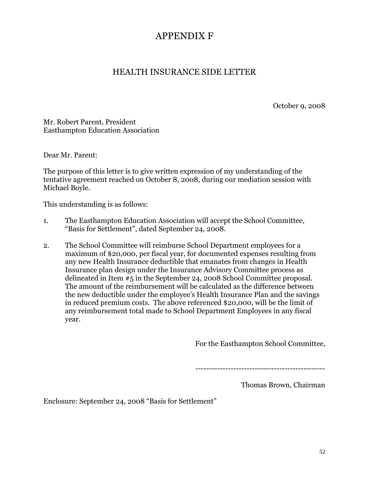# APPENDIX F

# HEALTH INSURANCE SIDE LETTER

October 9, 2008

Mr. Robert Parent, President Easthampton Education Association

Dear Mr. Parent:

The purpose of this letter is to give written expression of my understanding of the tentative agreement reached on October 8, 2008, during our mediation session with Michael Boyle.

This understanding is as follows:

- 1. The Easthampton Education Association will accept the School Committee, "Basis for Settlement", dated September 24, 2008.
- 2. The School Committee will reimburse School Department employees for a maximum of \$20,000, per fiscal year, for documented expenses resulting from any new Health Insurance deductible that emanates from changes in Health Insurance plan design under the Insurance Advisory Committee process as delineated in Item #5 in the September 24, 2008 School Committee proposal. The amount of the reimbursement will be calculated as the difference between the new deductible under the employee's Health Insurance Plan and the savings in reduced premium costs. The above referenced \$20,000, will be the limit of any reimbursement total made to School Department Employees in any fiscal year.

For the Easthampton School Committee,

------------------------------------------------

Thomas Brown, Chairman

Enclosure: September 24, 2008 "Basis for Settlement"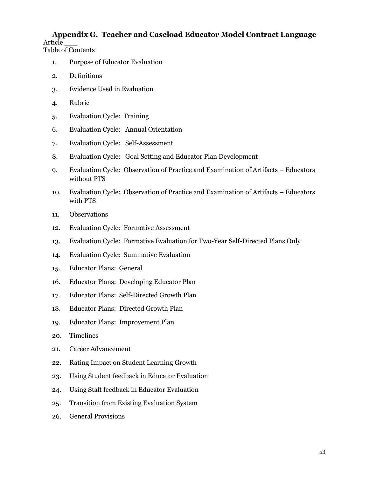# **Appendix G. Teacher and Caseload Educator Model Contract Language** Article \_\_\_

Table of Contents

- 1. Purpose of Educator Evaluation
- 2. Definitions
- 3. Evidence Used in Evaluation
- 4. Rubric
- 5. Evaluation Cycle: Training
- 6. Evaluation Cycle: Annual Orientation
- 7. Evaluation Cycle: Self-Assessment
- 8. Evaluation Cycle: Goal Setting and Educator Plan Development
- 9. Evaluation Cycle: Observation of Practice and Examination of Artifacts Educators without PTS
- 10. Evaluation Cycle: Observation of Practice and Examination of Artifacts Educators with PTS
- 11. Observations
- 12. Evaluation Cycle: Formative Assessment
- 13. Evaluation Cycle: Formative Evaluation for Two-Year Self-Directed Plans Only
- 14. Evaluation Cycle: Summative Evaluation
- 15. Educator Plans: General
- 16. Educator Plans: Developing Educator Plan
- 17. Educator Plans: Self-Directed Growth Plan
- 18. Educator Plans: Directed Growth Plan
- 19. Educator Plans: Improvement Plan
- 20. Timelines
- 21. Career Advancement
- 22. Rating Impact on Student Learning Growth
- 23. Using Student feedback in Educator Evaluation
- 24. Using Staff feedback in Educator Evaluation
- 25. Transition from Existing Evaluation System
- 26. General Provisions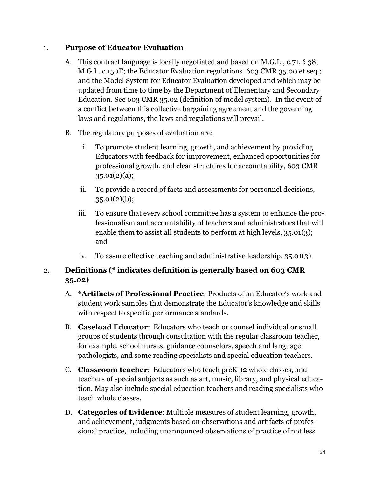# 1. **Purpose of Educator Evaluation**

- A. This contract language is locally negotiated and based on M.G.L., c.71, § 38; M.G.L. c.150E; the Educator Evaluation regulations, 603 CMR 35.00 et seq.; and the Model System for Educator Evaluation developed and which may be updated from time to time by the Department of Elementary and Secondary Education. See 603 CMR 35.02 (definition of model system). In the event of a conflict between this collective bargaining agreement and the governing laws and regulations, the laws and regulations will prevail.
- B. The regulatory purposes of evaluation are:
	- i. To promote student learning, growth, and achievement by providing Educators with feedback for improvement, enhanced opportunities for professional growth, and clear structures for accountability, 603 CMR 35.01(2)(a);
	- ii. To provide a record of facts and assessments for personnel decisions,  $35.01(2)(b)$ ;
	- iii. To ensure that every school committee has a system to enhance the professionalism and accountability of teachers and administrators that will enable them to assist all students to perform at high levels, 35.01(3); and
	- iv. To assure effective teaching and administrative leadership, 35.01(3).

# 2. **Definitions (\* indicates definition is generally based on 603 CMR 35.02)**

- A. **\*Artifacts of Professional Practice**: Products of an Educator's work and student work samples that demonstrate the Educator's knowledge and skills with respect to specific performance standards.
- B. **Caseload Educator**: Educators who teach or counsel individual or small groups of students through consultation with the regular classroom teacher, for example, school nurses, guidance counselors, speech and language pathologists, and some reading specialists and special education teachers.
- C. **Classroom teacher**: Educators who teach preK-12 whole classes, and teachers of special subjects as such as art, music, library, and physical education. May also include special education teachers and reading specialists who teach whole classes.
- D. **Categories of Evidence**: Multiple measures of student learning, growth, and achievement, judgments based on observations and artifacts of professional practice, including unannounced observations of practice of not less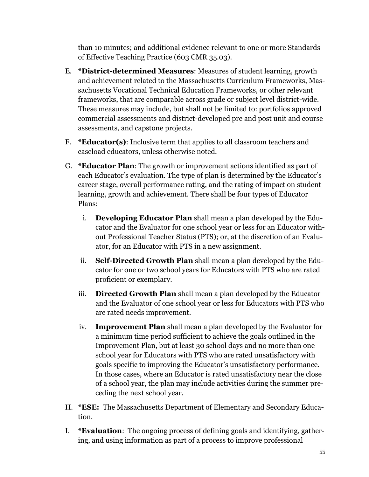than 10 minutes; and additional evidence relevant to one or more Standards of Effective Teaching Practice (603 CMR 35.03).

- E. **\*District-determined Measures**: Measures of student learning, growth and achievement related to the Massachusetts Curriculum Frameworks, Massachusetts Vocational Technical Education Frameworks, or other relevant frameworks, that are comparable across grade or subject level district-wide. These measures may include, but shall not be limited to: portfolios approved commercial assessments and district-developed pre and post unit and course assessments, and capstone projects.
- F. **\*Educator(s)**: Inclusive term that applies to all classroom teachers and caseload educators, unless otherwise noted.
- G. **\*Educator Plan**: The growth or improvement actions identified as part of each Educator's evaluation. The type of plan is determined by the Educator's career stage, overall performance rating, and the rating of impact on student learning, growth and achievement. There shall be four types of Educator Plans:
	- i. **Developing Educator Plan** shall mean a plan developed by the Educator and the Evaluator for one school year or less for an Educator without Professional Teacher Status (PTS); or, at the discretion of an Evaluator, for an Educator with PTS in a new assignment.
	- ii. **Self-Directed Growth Plan** shall mean a plan developed by the Educator for one or two school years for Educators with PTS who are rated proficient or exemplary.
	- iii. **Directed Growth Plan** shall mean a plan developed by the Educator and the Evaluator of one school year or less for Educators with PTS who are rated needs improvement.
	- iv. **Improvement Plan** shall mean a plan developed by the Evaluator for a minimum time period sufficient to achieve the goals outlined in the Improvement Plan, but at least 30 school days and no more than one school year for Educators with PTS who are rated unsatisfactory with goals specific to improving the Educator's unsatisfactory performance. In those cases, where an Educator is rated unsatisfactory near the close of a school year, the plan may include activities during the summer preceding the next school year.
- H. **\*ESE:** The Massachusetts Department of Elementary and Secondary Education.
- I. **\*Evaluation**: The ongoing process of defining goals and identifying, gathering, and using information as part of a process to improve professional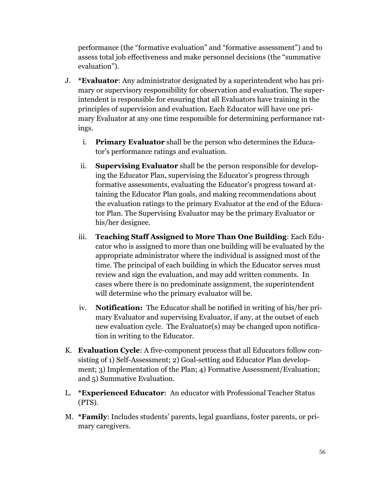performance (the "formative evaluation" and "formative assessment") and to assess total job effectiveness and make personnel decisions (the "summative evaluation").

- J. **\*Evaluator**: Any administrator designated by a superintendent who has primary or supervisory responsibility for observation and evaluation. The superintendent is responsible for ensuring that all Evaluators have training in the principles of supervision and evaluation. Each Educator will have one primary Evaluator at any one time responsible for determining performance ratings.
	- i. **Primary Evaluator** shall be the person who determines the Educator's performance ratings and evaluation.
	- ii. **Supervising Evaluator** shall be the person responsible for developing the Educator Plan, supervising the Educator's progress through formative assessments, evaluating the Educator's progress toward attaining the Educator Plan goals, and making recommendations about the evaluation ratings to the primary Evaluator at the end of the Educator Plan. The Supervising Evaluator may be the primary Evaluator or his/her designee.
	- iii. **Teaching Staff Assigned to More Than One Building**: Each Educator who is assigned to more than one building will be evaluated by the appropriate administrator where the individual is assigned most of the time. The principal of each building in which the Educator serves must review and sign the evaluation, and may add written comments. In cases where there is no predominate assignment, the superintendent will determine who the primary evaluator will be.
	- iv. **Notification:** The Educator shall be notified in writing of his/her primary Evaluator and supervising Evaluator, if any, at the outset of each new evaluation cycle. The Evaluator(s) may be changed upon notification in writing to the Educator.
- K. **Evaluation Cycle**: A five-component process that all Educators follow consisting of 1) Self-Assessment; 2) Goal-setting and Educator Plan development; 3) Implementation of the Plan; 4) Formative Assessment/Evaluation; and 5) Summative Evaluation.
- L. **\*Experienced Educator**: An educator with Professional Teacher Status (PTS).
- M. **\*Family**: Includes students' parents, legal guardians, foster parents, or primary caregivers.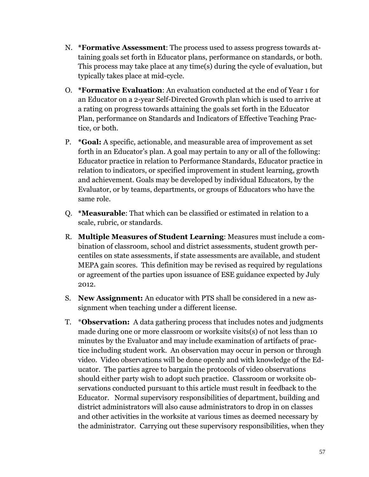- N. **\*Formative Assessment**: The process used to assess progress towards attaining goals set forth in Educator plans, performance on standards, or both. This process may take place at any time(s) during the cycle of evaluation, but typically takes place at mid-cycle.
- O. **\*Formative Evaluation**: An evaluation conducted at the end of Year 1 for an Educator on a 2-year Self-Directed Growth plan which is used to arrive at a rating on progress towards attaining the goals set forth in the Educator Plan, performance on Standards and Indicators of Effective Teaching Practice, or both.
- P. **\*Goal:** A specific, actionable, and measurable area of improvement as set forth in an Educator's plan. A goal may pertain to any or all of the following: Educator practice in relation to Performance Standards, Educator practice in relation to indicators, or specified improvement in student learning, growth and achievement. Goals may be developed by individual Educators, by the Evaluator, or by teams, departments, or groups of Educators who have the same role.
- Q. **\*Measurable**: That which can be classified or estimated in relation to a scale, rubric, or standards.
- R. **Multiple Measures of Student Learning**: Measures must include a combination of classroom, school and district assessments, student growth percentiles on state assessments, if state assessments are available, and student MEPA gain scores. This definition may be revised as required by regulations or agreement of the parties upon issuance of ESE guidance expected by July 2012.
- S. **New Assignment:** An educator with PTS shall be considered in a new assignment when teaching under a different license.
- T. \***Observation:** A data gathering process that includes notes and judgments made during one or more classroom or worksite visits(s) of not less than 10 minutes by the Evaluator and may include examination of artifacts of practice including student work. An observation may occur in person or through video. Video observations will be done openly and with knowledge of the Educator. The parties agree to bargain the protocols of video observations should either party wish to adopt such practice. Classroom or worksite observations conducted pursuant to this article must result in feedback to the Educator. Normal supervisory responsibilities of department, building and district administrators will also cause administrators to drop in on classes and other activities in the worksite at various times as deemed necessary by the administrator. Carrying out these supervisory responsibilities, when they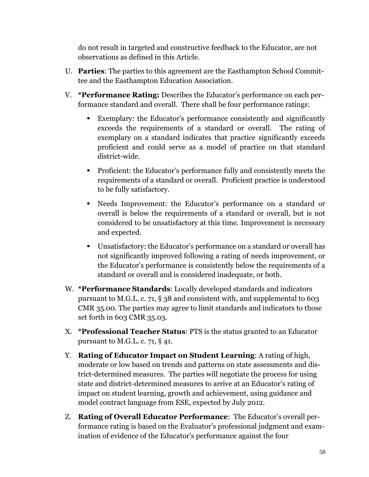do not result in targeted and constructive feedback to the Educator, are not observations as defined in this Article.

- U. **Parties**: The parties to this agreement are the Easthampton School Committee and the Easthampton Education Association.
- V. **\*Performance Rating:** Describes the Educator's performance on each performance standard and overall. There shall be four performance ratings:
	- Exemplary: the Educator's performance consistently and significantly exceeds the requirements of a standard or overall. The rating of exemplary on a standard indicates that practice significantly exceeds proficient and could serve as a model of practice on that standard district-wide.
	- Proficient: the Educator's performance fully and consistently meets the requirements of a standard or overall. Proficient practice is understood to be fully satisfactory.
	- Needs Improvement: the Educator's performance on a standard or overall is below the requirements of a standard or overall, but is not considered to be unsatisfactory at this time. Improvement is necessary and expected.
	- Unsatisfactory: the Educator's performance on a standard or overall has not significantly improved following a rating of needs improvement, or the Educator's performance is consistently below the requirements of a standard or overall and is considered inadequate, or both.
- W. **\*Performance Standards**: Locally developed standards and indicators pursuant to M.G.L. c. 71, § 38 and consistent with, and supplemental to 603 CMR 35.00. The parties may agree to limit standards and indicators to those set forth in 603 CMR 35.03.
- X. **\*Professional Teacher Status**: PTS is the status granted to an Educator pursuant to M.G.L. c. 71, § 41.
- Y. **Rating of Educator Impact on Student Learning**: A rating of high, moderate or low based on trends and patterns on state assessments and district-determined measures. The parties will negotiate the process for using state and district-determined measures to arrive at an Educator's rating of impact on student learning, growth and achievement, using guidance and model contract language from ESE, expected by July 2012.
- Z. **Rating of Overall Educator Performance**: The Educator's overall performance rating is based on the Evaluator's professional judgment and examination of evidence of the Educator's performance against the four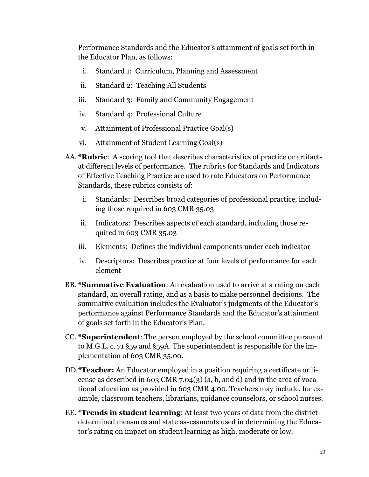Performance Standards and the Educator's attainment of goals set forth in the Educator Plan, as follows:

- i. Standard 1: Curriculum, Planning and Assessment
- ii. Standard 2: Teaching All Students
- iii. Standard 3: Family and Community Engagement
- iv. Standard 4: Professional Culture
- v. Attainment of Professional Practice Goal(s)
- vi. Attainment of Student Learning Goal(s)
- AA. **\*Rubric**: A scoring tool that describes characteristics of practice or artifacts at different levels of performance. The rubrics for Standards and Indicators of Effective Teaching Practice are used to rate Educators on Performance Standards, these rubrics consists of:
	- i. Standards: Describes broad categories of professional practice, including those required in 603 CMR 35.03
	- ii. Indicators: Describes aspects of each standard, including those required in 603 CMR 35.03
	- iii. Elements: Defines the individual components under each indicator
	- iv. Descriptors: Describes practice at four levels of performance for each element
- BB. **\*Summative Evaluation**: An evaluation used to arrive at a rating on each standard, an overall rating, and as a basis to make personnel decisions. The summative evaluation includes the Evaluator's judgments of the Educator's performance against Performance Standards and the Educator's attainment of goals set forth in the Educator's Plan.
- CC. **\*Superintendent**: The person employed by the school committee pursuant to M.G.L. c. 71 §59 and §59A. The superintendent is responsible for the implementation of 603 CMR 35.00.
- DD.**\*Teacher:** An Educator employed in a position requiring a certificate or license as described in 603 CMR 7.04(3) (a, b, and d) and in the area of vocational education as provided in 603 CMR 4.00. Teachers may include, for example, classroom teachers, librarians, guidance counselors, or school nurses.
- EE. **\*Trends in student learning**: At least two years of data from the districtdetermined measures and state assessments used in determining the Educator's rating on impact on student learning as high, moderate or low.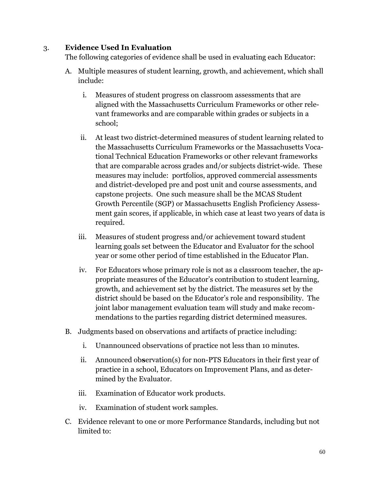# 3. **Evidence Used In Evaluation**

The following categories of evidence shall be used in evaluating each Educator:

- A. Multiple measures of student learning, growth, and achievement, which shall include:
	- i. Measures of student progress on classroom assessments that are aligned with the Massachusetts Curriculum Frameworks or other relevant frameworks and are comparable within grades or subjects in a school;
	- ii. At least two district-determined measures of student learning related to the Massachusetts Curriculum Frameworks or the Massachusetts Vocational Technical Education Frameworks or other relevant frameworks that are comparable across grades and/or subjects district-wide. These measures may include: portfolios, approved commercial assessments and district-developed pre and post unit and course assessments, and capstone projects. One such measure shall be the MCAS Student Growth Percentile (SGP) or Massachusetts English Proficiency Assessment gain scores, if applicable, in which case at least two years of data is required.
	- iii. Measures of student progress and/or achievement toward student learning goals set between the Educator and Evaluator for the school year or some other period of time established in the Educator Plan.
	- iv. For Educators whose primary role is not as a classroom teacher, the appropriate measures of the Educator's contribution to student learning, growth, and achievement set by the district. The measures set by the district should be based on the Educator's role and responsibility. The joint labor management evaluation team will study and make recommendations to the parties regarding district determined measures.
- B. Judgments based on observations and artifacts of practice including:
	- i. Unannounced observations of practice not less than 10 minutes.
	- ii. Announced ob**s**ervation(s) for non-PTS Educators in their first year of practice in a school, Educators on Improvement Plans, and as determined by the Evaluator.
	- iii. Examination of Educator work products.
	- iv. Examination of student work samples.
- C. Evidence relevant to one or more Performance Standards, including but not limited to: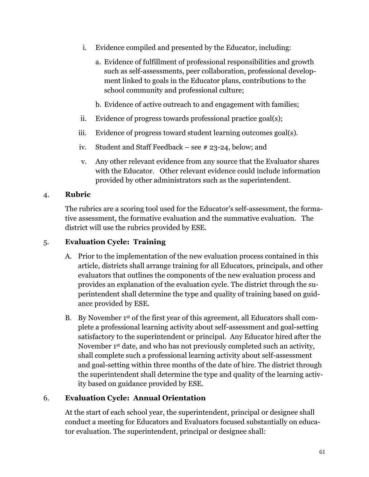- i. Evidence compiled and presented by the Educator, including:
	- a. Evidence of fulfillment of professional responsibilities and growth such as self-assessments, peer collaboration, professional development linked to goals in the Educator plans, contributions to the school community and professional culture;
	- b. Evidence of active outreach to and engagement with families;
- ii. Evidence of progress towards professional practice goal(s);
- iii. Evidence of progress toward student learning outcomes goal(s).
- iv. Student and Staff Feedback see # 23-24, below; and
- v. Any other relevant evidence from any source that the Evaluator shares with the Educator. Other relevant evidence could include information provided by other administrators such as the superintendent.

# 4. **Rubric**

The rubrics are a scoring tool used for the Educator's self-assessment, the formative assessment, the formative evaluation and the summative evaluation. The district will use the rubrics provided by ESE.

# 5. **Evaluation Cycle: Training**

- A. Prior to the implementation of the new evaluation process contained in this article, districts shall arrange training for all Educators, principals, and other evaluators that outlines the components of the new evaluation process and provides an explanation of the evaluation cycle. The district through the superintendent shall determine the type and quality of training based on guidance provided by ESE.
- B. By November 1st of the first year of this agreement, all Educators shall complete a professional learning activity about self-assessment and goal-setting satisfactory to the superintendent or principal. Any Educator hired after the November 1st date, and who has not previously completed such an activity, shall complete such a professional learning activity about self-assessment and goal-setting within three months of the date of hire. The district through the superintendent shall determine the type and quality of the learning activity based on guidance provided by ESE.

# 6. **Evaluation Cycle: Annual Orientation**

At the start of each school year, the superintendent, principal or designee shall conduct a meeting for Educators and Evaluators focused substantially on educator evaluation. The superintendent, principal or designee shall: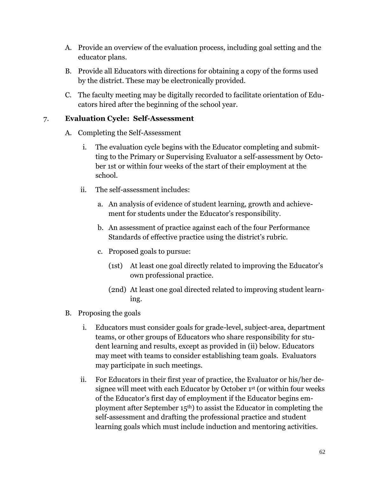- A. Provide an overview of the evaluation process, including goal setting and the educator plans.
- B. Provide all Educators with directions for obtaining a copy of the forms used by the district. These may be electronically provided.
- C. The faculty meeting may be digitally recorded to facilitate orientation of Educators hired after the beginning of the school year.

# 7. **Evaluation Cycle: Self-Assessment**

- A. Completing the Self-Assessment
	- i. The evaluation cycle begins with the Educator completing and submitting to the Primary or Supervising Evaluator a self-assessment by October 1st or within four weeks of the start of their employment at the school.
	- ii. The self-assessment includes:
		- a. An analysis of evidence of student learning, growth and achievement for students under the Educator's responsibility.
		- b. An assessment of practice against each of the four Performance Standards of effective practice using the district's rubric.
		- c. Proposed goals to pursue:
			- (1st) At least one goal directly related to improving the Educator's own professional practice.
			- (2nd) At least one goal directed related to improving student learning.
- B. Proposing the goals
	- i. Educators must consider goals for grade-level, subject-area, department teams, or other groups of Educators who share responsibility for student learning and results, except as provided in (ii) below. Educators may meet with teams to consider establishing team goals. Evaluators may participate in such meetings.
	- ii. For Educators in their first year of practice, the Evaluator or his/her designee will meet with each Educator by October 1st (or within four weeks of the Educator's first day of employment if the Educator begins employment after September 15th) to assist the Educator in completing the self-assessment and drafting the professional practice and student learning goals which must include induction and mentoring activities.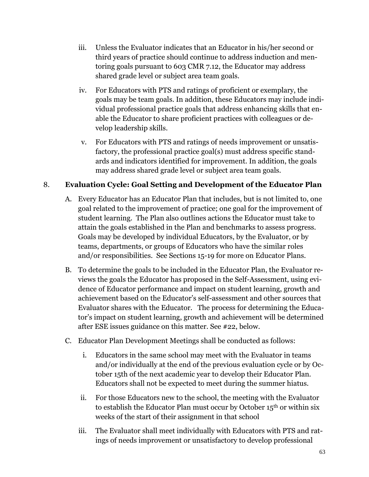- iii. Unless the Evaluator indicates that an Educator in his/her second or third years of practice should continue to address induction and mentoring goals pursuant to 603 CMR 7.12, the Educator may address shared grade level or subject area team goals.
- iv. For Educators with PTS and ratings of proficient or exemplary, the goals may be team goals. In addition, these Educators may include individual professional practice goals that address enhancing skills that enable the Educator to share proficient practices with colleagues or develop leadership skills.
- v. For Educators with PTS and ratings of needs improvement or unsatisfactory, the professional practice goal(s) must address specific standards and indicators identified for improvement. In addition, the goals may address shared grade level or subject area team goals.

# 8. **Evaluation Cycle: Goal Setting and Development of the Educator Plan**

- A. Every Educator has an Educator Plan that includes, but is not limited to, one goal related to the improvement of practice; one goal for the improvement of student learning. The Plan also outlines actions the Educator must take to attain the goals established in the Plan and benchmarks to assess progress. Goals may be developed by individual Educators, by the Evaluator, or by teams, departments, or groups of Educators who have the similar roles and/or responsibilities. See Sections 15-19 for more on Educator Plans.
- B. To determine the goals to be included in the Educator Plan, the Evaluator reviews the goals the Educator has proposed in the Self-Assessment, using evidence of Educator performance and impact on student learning, growth and achievement based on the Educator's self-assessment and other sources that Evaluator shares with the Educator. The process for determining the Educator's impact on student learning, growth and achievement will be determined after ESE issues guidance on this matter. See #22, below.
- C. Educator Plan Development Meetings shall be conducted as follows:
	- i. Educators in the same school may meet with the Evaluator in teams and/or individually at the end of the previous evaluation cycle or by October 15th of the next academic year to develop their Educator Plan. Educators shall not be expected to meet during the summer hiatus.
	- ii. For those Educators new to the school, the meeting with the Evaluator to establish the Educator Plan must occur by October 15th or within six weeks of the start of their assignment in that school
	- iii. The Evaluator shall meet individually with Educators with PTS and ratings of needs improvement or unsatisfactory to develop professional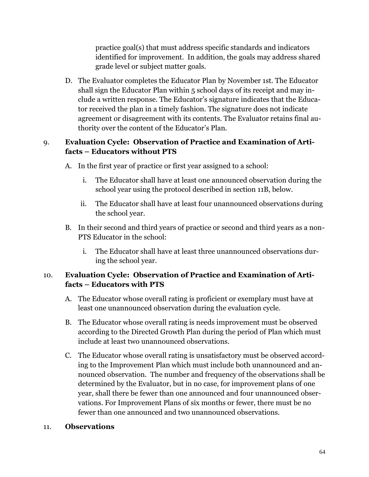practice goal(s) that must address specific standards and indicators identified for improvement. In addition, the goals may address shared grade level or subject matter goals.

D. The Evaluator completes the Educator Plan by November 1st. The Educator shall sign the Educator Plan within 5 school days of its receipt and may include a written response. The Educator's signature indicates that the Educator received the plan in a timely fashion. The signature does not indicate agreement or disagreement with its contents. The Evaluator retains final authority over the content of the Educator's Plan.

# 9. **Evaluation Cycle: Observation of Practice and Examination of Artifacts – Educators without PTS**

- A. In the first year of practice or first year assigned to a school:
	- i. The Educator shall have at least one announced observation during the school year using the protocol described in section 11B, below.
	- ii. The Educator shall have at least four unannounced observations during the school year.
- B. In their second and third years of practice or second and third years as a non-PTS Educator in the school:
	- i. The Educator shall have at least three unannounced observations during the school year.

# 10. **Evaluation Cycle: Observation of Practice and Examination of Artifacts – Educators with PTS**

- A. The Educator whose overall rating is proficient or exemplary must have at least one unannounced observation during the evaluation cycle.
- B. The Educator whose overall rating is needs improvement must be observed according to the Directed Growth Plan during the period of Plan which must include at least two unannounced observations.
- C. The Educator whose overall rating is unsatisfactory must be observed according to the Improvement Plan which must include both unannounced and announced observation. The number and frequency of the observations shall be determined by the Evaluator, but in no case, for improvement plans of one year, shall there be fewer than one announced and four unannounced observations. For Improvement Plans of six months or fewer, there must be no fewer than one announced and two unannounced observations.

### 11. **Observations**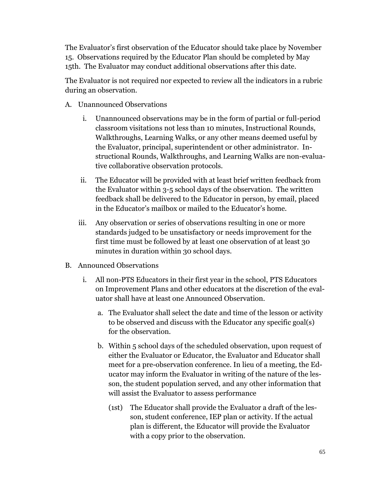The Evaluator's first observation of the Educator should take place by November 15. Observations required by the Educator Plan should be completed by May 15th. The Evaluator may conduct additional observations after this date.

The Evaluator is not required nor expected to review all the indicators in a rubric during an observation.

- A. Unannounced Observations
	- i. Unannounced observations may be in the form of partial or full-period classroom visitations not less than 10 minutes, Instructional Rounds, Walkthroughs, Learning Walks, or any other means deemed useful by the Evaluator, principal, superintendent or other administrator. Instructional Rounds, Walkthroughs, and Learning Walks are non-evaluative collaborative observation protocols.
	- ii. The Educator will be provided with at least brief written feedback from the Evaluator within 3-5 school days of the observation. The written feedback shall be delivered to the Educator in person, by email, placed in the Educator's mailbox or mailed to the Educator's home.
	- iii. Any observation or series of observations resulting in one or more standards judged to be unsatisfactory or needs improvement for the first time must be followed by at least one observation of at least 30 minutes in duration within 30 school days.
- B. Announced Observations
	- i. All non-PTS Educators in their first year in the school, PTS Educators on Improvement Plans and other educators at the discretion of the evaluator shall have at least one Announced Observation.
		- a. The Evaluator shall select the date and time of the lesson or activity to be observed and discuss with the Educator any specific goal(s) for the observation.
		- b. Within 5 school days of the scheduled observation, upon request of either the Evaluator or Educator, the Evaluator and Educator shall meet for a pre-observation conference. In lieu of a meeting, the Educator may inform the Evaluator in writing of the nature of the lesson, the student population served, and any other information that will assist the Evaluator to assess performance
			- (1st) The Educator shall provide the Evaluator a draft of the lesson, student conference, IEP plan or activity. If the actual plan is different, the Educator will provide the Evaluator with a copy prior to the observation.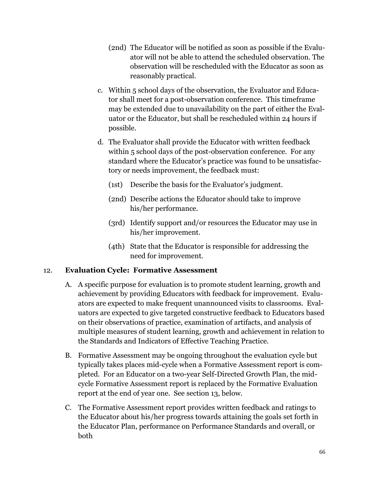- (2nd) The Educator will be notified as soon as possible if the Evaluator will not be able to attend the scheduled observation. The observation will be rescheduled with the Educator as soon as reasonably practical.
- c. Within 5 school days of the observation, the Evaluator and Educator shall meet for a post-observation conference. This timeframe may be extended due to unavailability on the part of either the Evaluator or the Educator, but shall be rescheduled within 24 hours if possible.
- d. The Evaluator shall provide the Educator with written feedback within 5 school days of the post-observation conference. For any standard where the Educator's practice was found to be unsatisfactory or needs improvement, the feedback must:
	- (1st) Describe the basis for the Evaluator's judgment.
	- (2nd) Describe actions the Educator should take to improve his/her performance.
	- (3rd) Identify support and/or resources the Educator may use in his/her improvement.
	- (4th) State that the Educator is responsible for addressing the need for improvement.

# 12. **Evaluation Cycle: Formative Assessment**

- A. A specific purpose for evaluation is to promote student learning, growth and achievement by providing Educators with feedback for improvement. Evaluators are expected to make frequent unannounced visits to classrooms. Evaluators are expected to give targeted constructive feedback to Educators based on their observations of practice, examination of artifacts, and analysis of multiple measures of student learning, growth and achievement in relation to the Standards and Indicators of Effective Teaching Practice.
- B. Formative Assessment may be ongoing throughout the evaluation cycle but typically takes places mid-cycle when a Formative Assessment report is completed. For an Educator on a two-year Self-Directed Growth Plan, the midcycle Formative Assessment report is replaced by the Formative Evaluation report at the end of year one. See section 13, below.
- C. The Formative Assessment report provides written feedback and ratings to the Educator about his/her progress towards attaining the goals set forth in the Educator Plan, performance on Performance Standards and overall, or both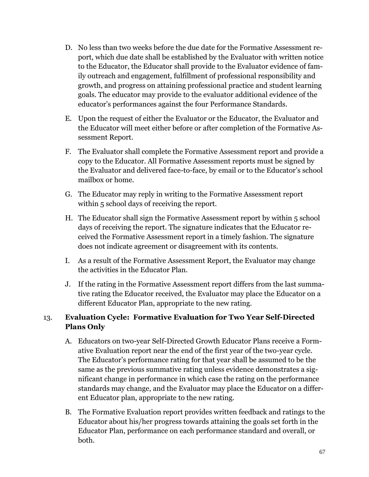- D. No less than two weeks before the due date for the Formative Assessment report, which due date shall be established by the Evaluator with written notice to the Educator, the Educator shall provide to the Evaluator evidence of family outreach and engagement, fulfillment of professional responsibility and growth, and progress on attaining professional practice and student learning goals. The educator may provide to the evaluator additional evidence of the educator's performances against the four Performance Standards.
- E. Upon the request of either the Evaluator or the Educator, the Evaluator and the Educator will meet either before or after completion of the Formative Assessment Report.
- F. The Evaluator shall complete the Formative Assessment report and provide a copy to the Educator. All Formative Assessment reports must be signed by the Evaluator and delivered face-to-face, by email or to the Educator's school mailbox or home.
- G. The Educator may reply in writing to the Formative Assessment report within 5 school days of receiving the report.
- H. The Educator shall sign the Formative Assessment report by within 5 school days of receiving the report. The signature indicates that the Educator received the Formative Assessment report in a timely fashion. The signature does not indicate agreement or disagreement with its contents.
- I. As a result of the Formative Assessment Report, the Evaluator may change the activities in the Educator Plan.
- J. If the rating in the Formative Assessment report differs from the last summative rating the Educator received, the Evaluator may place the Educator on a different Educator Plan, appropriate to the new rating.

# 13. **Evaluation Cycle: Formative Evaluation for Two Year Self-Directed Plans Only**

- A. Educators on two-year Self-Directed Growth Educator Plans receive a Formative Evaluation report near the end of the first year of the two-year cycle. The Educator's performance rating for that year shall be assumed to be the same as the previous summative rating unless evidence demonstrates a significant change in performance in which case the rating on the performance standards may change, and the Evaluator may place the Educator on a different Educator plan, appropriate to the new rating.
- B. The Formative Evaluation report provides written feedback and ratings to the Educator about his/her progress towards attaining the goals set forth in the Educator Plan, performance on each performance standard and overall, or both.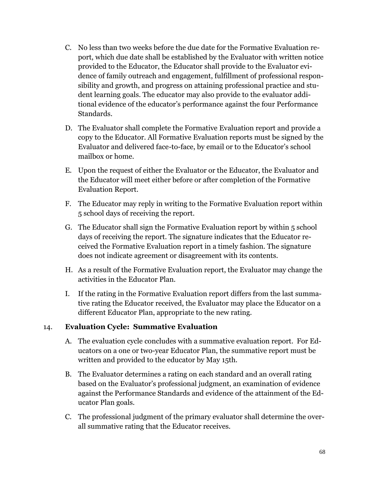- C. No less than two weeks before the due date for the Formative Evaluation report, which due date shall be established by the Evaluator with written notice provided to the Educator, the Educator shall provide to the Evaluator evidence of family outreach and engagement, fulfillment of professional responsibility and growth, and progress on attaining professional practice and student learning goals. The educator may also provide to the evaluator additional evidence of the educator's performance against the four Performance Standards.
- D. The Evaluator shall complete the Formative Evaluation report and provide a copy to the Educator. All Formative Evaluation reports must be signed by the Evaluator and delivered face-to-face, by email or to the Educator's school mailbox or home.
- E. Upon the request of either the Evaluator or the Educator, the Evaluator and the Educator will meet either before or after completion of the Formative Evaluation Report.
- F. The Educator may reply in writing to the Formative Evaluation report within 5 school days of receiving the report.
- G. The Educator shall sign the Formative Evaluation report by within 5 school days of receiving the report. The signature indicates that the Educator received the Formative Evaluation report in a timely fashion. The signature does not indicate agreement or disagreement with its contents.
- H. As a result of the Formative Evaluation report, the Evaluator may change the activities in the Educator Plan.
- I. If the rating in the Formative Evaluation report differs from the last summative rating the Educator received, the Evaluator may place the Educator on a different Educator Plan, appropriate to the new rating.

# 14. **Evaluation Cycle: Summative Evaluation**

- A. The evaluation cycle concludes with a summative evaluation report. For Educators on a one or two-year Educator Plan, the summative report must be written and provided to the educator by May 15th.
- B. The Evaluator determines a rating on each standard and an overall rating based on the Evaluator's professional judgment, an examination of evidence against the Performance Standards and evidence of the attainment of the Educator Plan goals.
- C. The professional judgment of the primary evaluator shall determine the overall summative rating that the Educator receives.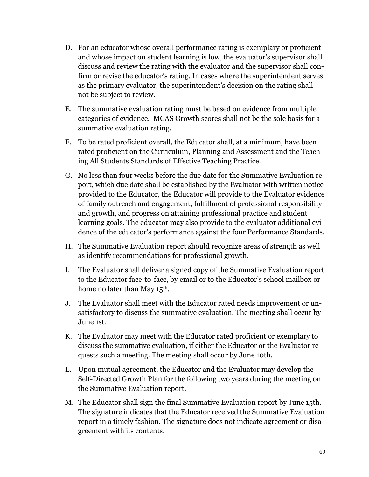- D. For an educator whose overall performance rating is exemplary or proficient and whose impact on student learning is low, the evaluator's supervisor shall discuss and review the rating with the evaluator and the supervisor shall confirm or revise the educator's rating. In cases where the superintendent serves as the primary evaluator, the superintendent's decision on the rating shall not be subject to review.
- E. The summative evaluation rating must be based on evidence from multiple categories of evidence. MCAS Growth scores shall not be the sole basis for a summative evaluation rating.
- F. To be rated proficient overall, the Educator shall, at a minimum, have been rated proficient on the Curriculum, Planning and Assessment and the Teaching All Students Standards of Effective Teaching Practice.
- G. No less than four weeks before the due date for the Summative Evaluation report, which due date shall be established by the Evaluator with written notice provided to the Educator, the Educator will provide to the Evaluator evidence of family outreach and engagement, fulfillment of professional responsibility and growth, and progress on attaining professional practice and student learning goals. The educator may also provide to the evaluator additional evidence of the educator's performance against the four Performance Standards.
- H. The Summative Evaluation report should recognize areas of strength as well as identify recommendations for professional growth.
- I. The Evaluator shall deliver a signed copy of the Summative Evaluation report to the Educator face-to-face, by email or to the Educator's school mailbox or home no later than May 15<sup>th</sup>.
- J. The Evaluator shall meet with the Educator rated needs improvement or unsatisfactory to discuss the summative evaluation. The meeting shall occur by June 1st.
- K. The Evaluator may meet with the Educator rated proficient or exemplary to discuss the summative evaluation, if either the Educator or the Evaluator requests such a meeting. The meeting shall occur by June 10th.
- L. Upon mutual agreement, the Educator and the Evaluator may develop the Self-Directed Growth Plan for the following two years during the meeting on the Summative Evaluation report.
- M. The Educator shall sign the final Summative Evaluation report by June 15th. The signature indicates that the Educator received the Summative Evaluation report in a timely fashion. The signature does not indicate agreement or disagreement with its contents.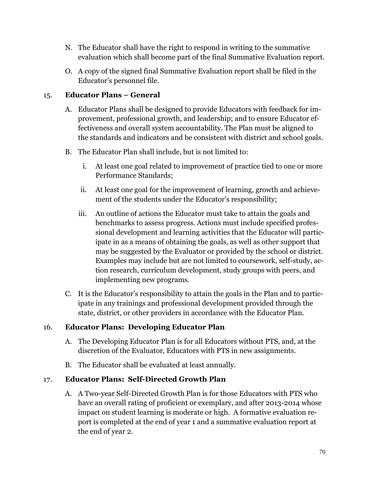- N. The Educator shall have the right to respond in writing to the summative evaluation which shall become part of the final Summative Evaluation report.
- O. A copy of the signed final Summative Evaluation report shall be filed in the Educator's personnel file.

### 15. **Educator Plans – General**

- A. Educator Plans shall be designed to provide Educators with feedback for improvement, professional growth, and leadership; and to ensure Educator effectiveness and overall system accountability. The Plan must be aligned to the standards and indicators and be consistent with district and school goals.
- B. The Educator Plan shall include, but is not limited to:
	- i. At least one goal related to improvement of practice tied to one or more Performance Standards;
	- ii. At least one goal for the improvement of learning, growth and achievement of the students under the Educator's responsibility;
	- iii. An outline of actions the Educator must take to attain the goals and benchmarks to assess progress. Actions must include specified professional development and learning activities that the Educator will participate in as a means of obtaining the goals, as well as other support that may be suggested by the Evaluator or provided by the school or district. Examples may include but are not limited to coursework, self-study, action research, curriculum development, study groups with peers, and implementing new programs.
- C. It is the Educator's responsibility to attain the goals in the Plan and to participate in any trainings and professional development provided through the state, district, or other providers in accordance with the Educator Plan.

# 16. **Educator Plans: Developing Educator Plan**

- A. The Developing Educator Plan is for all Educators without PTS, and, at the discretion of the Evaluator, Educators with PTS in new assignments.
- B. The Educator shall be evaluated at least annually.

# 17. **Educator Plans: Self-Directed Growth Plan**

A. A Two-year Self-Directed Growth Plan is for those Educators with PTS who have an overall rating of proficient or exemplary, and after 2013-2014 whose impact on student learning is moderate or high. A formative evaluation report is completed at the end of year 1 and a summative evaluation report at the end of year 2.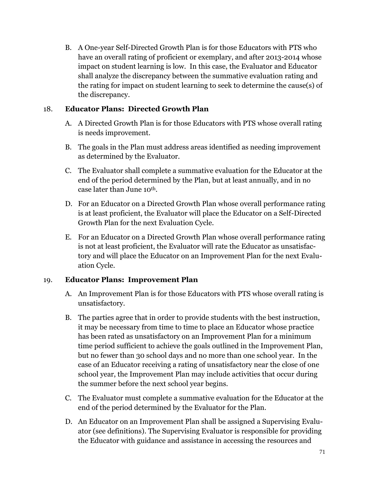B. A One-year Self-Directed Growth Plan is for those Educators with PTS who have an overall rating of proficient or exemplary, and after 2013-2014 whose impact on student learning is low. In this case, the Evaluator and Educator shall analyze the discrepancy between the summative evaluation rating and the rating for impact on student learning to seek to determine the cause(s) of the discrepancy.

#### 18. **Educator Plans: Directed Growth Plan**

- A. A Directed Growth Plan is for those Educators with PTS whose overall rating is needs improvement.
- B. The goals in the Plan must address areas identified as needing improvement as determined by the Evaluator.
- C. The Evaluator shall complete a summative evaluation for the Educator at the end of the period determined by the Plan, but at least annually, and in no case later than June 10th.
- D. For an Educator on a Directed Growth Plan whose overall performance rating is at least proficient, the Evaluator will place the Educator on a Self-Directed Growth Plan for the next Evaluation Cycle.
- E. For an Educator on a Directed Growth Plan whose overall performance rating is not at least proficient, the Evaluator will rate the Educator as unsatisfactory and will place the Educator on an Improvement Plan for the next Evaluation Cycle.

### 19. **Educator Plans: Improvement Plan**

- A. An Improvement Plan is for those Educators with PTS whose overall rating is unsatisfactory.
- B. The parties agree that in order to provide students with the best instruction, it may be necessary from time to time to place an Educator whose practice has been rated as unsatisfactory on an Improvement Plan for a minimum time period sufficient to achieve the goals outlined in the Improvement Plan, but no fewer than 30 school days and no more than one school year. In the case of an Educator receiving a rating of unsatisfactory near the close of one school year, the Improvement Plan may include activities that occur during the summer before the next school year begins.
- C. The Evaluator must complete a summative evaluation for the Educator at the end of the period determined by the Evaluator for the Plan.
- D. An Educator on an Improvement Plan shall be assigned a Supervising Evaluator (see definitions). The Supervising Evaluator is responsible for providing the Educator with guidance and assistance in accessing the resources and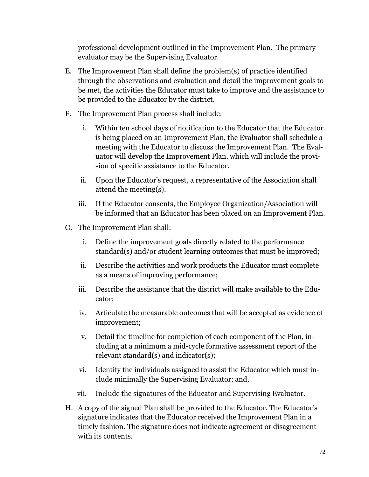professional development outlined in the Improvement Plan. The primary evaluator may be the Supervising Evaluator.

- E. The Improvement Plan shall define the problem(s) of practice identified through the observations and evaluation and detail the improvement goals to be met, the activities the Educator must take to improve and the assistance to be provided to the Educator by the district.
- F. The Improvement Plan process shall include:
	- i. Within ten school days of notification to the Educator that the Educator is being placed on an Improvement Plan, the Evaluator shall schedule a meeting with the Educator to discuss the Improvement Plan. The Evaluator will develop the Improvement Plan, which will include the provision of specific assistance to the Educator.
	- ii. Upon the Educator's request, a representative of the Association shall attend the meeting(s).
	- iii. If the Educator consents, the Employee Organization/Association will be informed that an Educator has been placed on an Improvement Plan.
- G. The Improvement Plan shall:
	- i. Define the improvement goals directly related to the performance standard(s) and/or student learning outcomes that must be improved;
	- ii. Describe the activities and work products the Educator must complete as a means of improving performance;
	- iii. Describe the assistance that the district will make available to the Educator;
	- iv. Articulate the measurable outcomes that will be accepted as evidence of improvement;
	- v. Detail the timeline for completion of each component of the Plan, including at a minimum a mid-cycle formative assessment report of the relevant standard(s) and indicator(s);
	- vi. Identify the individuals assigned to assist the Educator which must include minimally the Supervising Evaluator; and,
	- vii. Include the signatures of the Educator and Supervising Evaluator.
- H. A copy of the signed Plan shall be provided to the Educator. The Educator's signature indicates that the Educator received the Improvement Plan in a timely fashion. The signature does not indicate agreement or disagreement with its contents.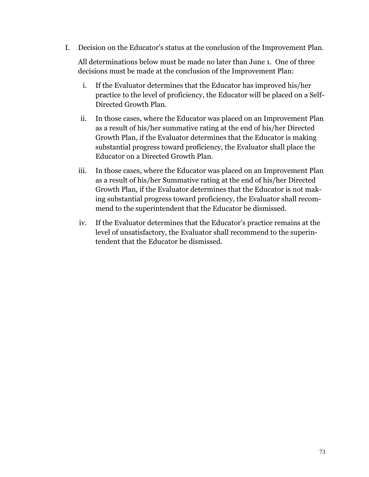I. Decision on the Educator's status at the conclusion of the Improvement Plan.

All determinations below must be made no later than June 1. One of three decisions must be made at the conclusion of the Improvement Plan:

- i. If the Evaluator determines that the Educator has improved his/her practice to the level of proficiency, the Educator will be placed on a Self-Directed Growth Plan.
- ii. In those cases, where the Educator was placed on an Improvement Plan as a result of his/her summative rating at the end of his/her Directed Growth Plan, if the Evaluator determines that the Educator is making substantial progress toward proficiency, the Evaluator shall place the Educator on a Directed Growth Plan.
- iii. In those cases, where the Educator was placed on an Improvement Plan as a result of his/her Summative rating at the end of his/her Directed Growth Plan, if the Evaluator determines that the Educator is not making substantial progress toward proficiency, the Evaluator shall recommend to the superintendent that the Educator be dismissed.
- iv. If the Evaluator determines that the Educator's practice remains at the level of unsatisfactory, the Evaluator shall recommend to the superintendent that the Educator be dismissed.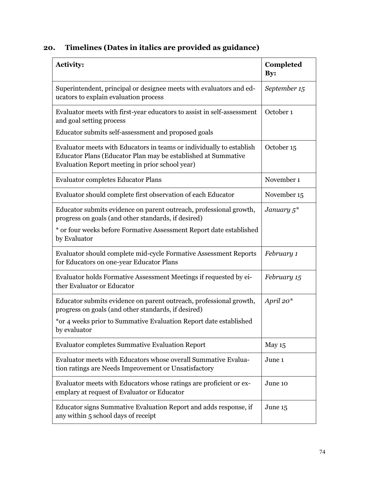| 20. |  |  |  |  | Timelines (Dates in italics are provided as guidance) |
|-----|--|--|--|--|-------------------------------------------------------|
|-----|--|--|--|--|-------------------------------------------------------|

| <b>Activity:</b>                                                                                                                                                                         | Completed<br>By: |
|------------------------------------------------------------------------------------------------------------------------------------------------------------------------------------------|------------------|
| Superintendent, principal or designee meets with evaluators and ed-<br>ucators to explain evaluation process                                                                             | September 15     |
| Evaluator meets with first-year educators to assist in self-assessment<br>and goal setting process                                                                                       | October 1        |
| Educator submits self-assessment and proposed goals                                                                                                                                      |                  |
| Evaluator meets with Educators in teams or individually to establish<br>Educator Plans (Educator Plan may be established at Summative<br>Evaluation Report meeting in prior school year) | October 15       |
| <b>Evaluator completes Educator Plans</b>                                                                                                                                                | November 1       |
| Evaluator should complete first observation of each Educator                                                                                                                             | November 15      |
| Educator submits evidence on parent outreach, professional growth,<br>progress on goals (and other standards, if desired)                                                                | January $5^*$    |
| * or four weeks before Formative Assessment Report date established<br>by Evaluator                                                                                                      |                  |
| Evaluator should complete mid-cycle Formative Assessment Reports<br>for Educators on one-year Educator Plans                                                                             | February 1       |
| Evaluator holds Formative Assessment Meetings if requested by ei-<br>ther Evaluator or Educator                                                                                          | February 15      |
| Educator submits evidence on parent outreach, professional growth,<br>progress on goals (and other standards, if desired)                                                                | April 20*        |
| *or 4 weeks prior to Summative Evaluation Report date established<br>by evaluator                                                                                                        |                  |
| <b>Evaluator completes Summative Evaluation Report</b>                                                                                                                                   | May 15           |
| Evaluator meets with Educators whose overall Summative Evalua-<br>tion ratings are Needs Improvement or Unsatisfactory                                                                   | June 1           |
| Evaluator meets with Educators whose ratings are proficient or ex-<br>emplary at request of Evaluator or Educator                                                                        | June 10          |
| Educator signs Summative Evaluation Report and adds response, if<br>any within 5 school days of receipt                                                                                  | June 15          |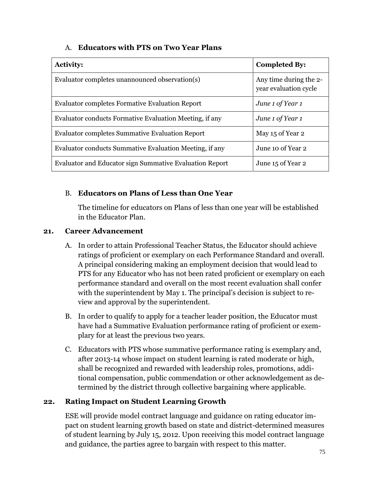### A. **Educators with PTS on Two Year Plans**

| <b>Activity:</b>                                               | <b>Completed By:</b>                            |
|----------------------------------------------------------------|-------------------------------------------------|
| Evaluator completes unannounced observation(s)                 | Any time during the 2-<br>year evaluation cycle |
| <b>Evaluator completes Formative Evaluation Report</b>         | June 1 of Year 1                                |
| Evaluator conducts Formative Evaluation Meeting, if any        | June 1 of Year 1                                |
| <b>Evaluator completes Summative Evaluation Report</b>         | May 15 of Year 2                                |
| Evaluator conducts Summative Evaluation Meeting, if any        | June 10 of Year 2                               |
| <b>Evaluator and Educator sign Summative Evaluation Report</b> | June 15 of Year 2                               |

## B. **Educators on Plans of Less than One Year**

The timeline for educators on Plans of less than one year will be established in the Educator Plan.

### **21. Career Advancement**

- A. In order to attain Professional Teacher Status, the Educator should achieve ratings of proficient or exemplary on each Performance Standard and overall. A principal considering making an employment decision that would lead to PTS for any Educator who has not been rated proficient or exemplary on each performance standard and overall on the most recent evaluation shall confer with the superintendent by May 1. The principal's decision is subject to review and approval by the superintendent.
- B. In order to qualify to apply for a teacher leader position, the Educator must have had a Summative Evaluation performance rating of proficient or exemplary for at least the previous two years.
- C. Educators with PTS whose summative performance rating is exemplary and, after 2013-14 whose impact on student learning is rated moderate or high, shall be recognized and rewarded with leadership roles, promotions, additional compensation, public commendation or other acknowledgement as determined by the district through collective bargaining where applicable.

### **22. Rating Impact on Student Learning Growth**

ESE will provide model contract language and guidance on rating educator impact on student learning growth based on state and district-determined measures of student learning by July 15, 2012. Upon receiving this model contract language and guidance, the parties agree to bargain with respect to this matter.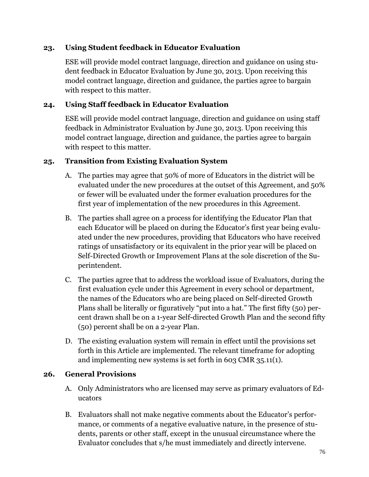#### **23. Using Student feedback in Educator Evaluation**

ESE will provide model contract language, direction and guidance on using student feedback in Educator Evaluation by June 30, 2013. Upon receiving this model contract language, direction and guidance, the parties agree to bargain with respect to this matter.

### **24. Using Staff feedback in Educator Evaluation**

ESE will provide model contract language, direction and guidance on using staff feedback in Administrator Evaluation by June 30, 2013. Upon receiving this model contract language, direction and guidance, the parties agree to bargain with respect to this matter.

#### **25. Transition from Existing Evaluation System**

- A. The parties may agree that 50% of more of Educators in the district will be evaluated under the new procedures at the outset of this Agreement, and 50% or fewer will be evaluated under the former evaluation procedures for the first year of implementation of the new procedures in this Agreement.
- B. The parties shall agree on a process for identifying the Educator Plan that each Educator will be placed on during the Educator's first year being evaluated under the new procedures, providing that Educators who have received ratings of unsatisfactory or its equivalent in the prior year will be placed on Self-Directed Growth or Improvement Plans at the sole discretion of the Superintendent.
- C. The parties agree that to address the workload issue of Evaluators, during the first evaluation cycle under this Agreement in every school or department, the names of the Educators who are being placed on Self-directed Growth Plans shall be literally or figuratively "put into a hat." The first fifty (50) percent drawn shall be on a 1-year Self-directed Growth Plan and the second fifty (50) percent shall be on a 2-year Plan.
- D. The existing evaluation system will remain in effect until the provisions set forth in this Article are implemented. The relevant timeframe for adopting and implementing new systems is set forth in 603 CMR 35.11(1).

### **26. General Provisions**

- A. Only Administrators who are licensed may serve as primary evaluators of Educators
- B. Evaluators shall not make negative comments about the Educator's performance, or comments of a negative evaluative nature, in the presence of students, parents or other staff, except in the unusual circumstance where the Evaluator concludes that s/he must immediately and directly intervene.